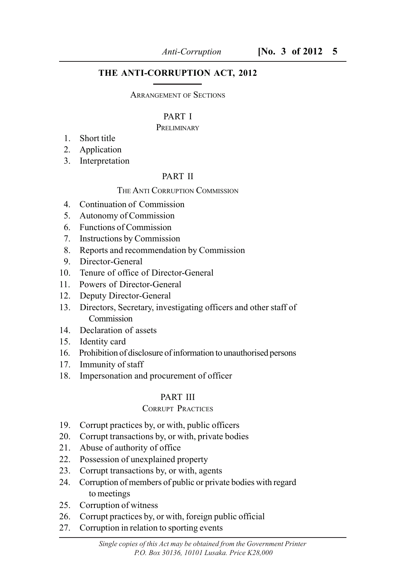# **THE ANTI-CORRUPTION ACT, 2012**

#### ARRANGEMENT OF SECTIONS

## PART I

## PRELIMINARY

- 1. Short title
- 2. Application
- 3. Interpretation

# PART II

## THE ANTI CORRUPTION COMMISSION

- 4. Continuation of Commission
- 5. Autonomy of Commission
- 6. Functions of Commission
- 7. Instructions by Commission
- 8. Reports and recommendation by Commission
- 9. Director-General
- 10. Tenure of office of Director-General
- 11. Powers of Director-General
- 12. Deputy Director-General
- 13. Directors, Secretary, investigating officers and other staff of Commission
- 14. Declaration of assets
- 15. Identity card
- 16. Prohibition of disclosure of information to unauthorised persons
- 17. Immunity of staff
- 18. Impersonation and procurement of officer

# PART III

# CORRUPT PRACTICES

- 19. Corrupt practices by, or with, public officers
- 20. Corrupt transactions by, or with, private bodies
- 21. Abuse of authority of office
- 22. Possession of unexplained property
- 23. Corrupt transactions by, or with, agents
- 24. Corruption of members of public or private bodies with regard to meetings
- 25. Corruption of witness
- 26. Corrupt practices by, or with, foreign public official
- 27. Corruption in relation to sporting events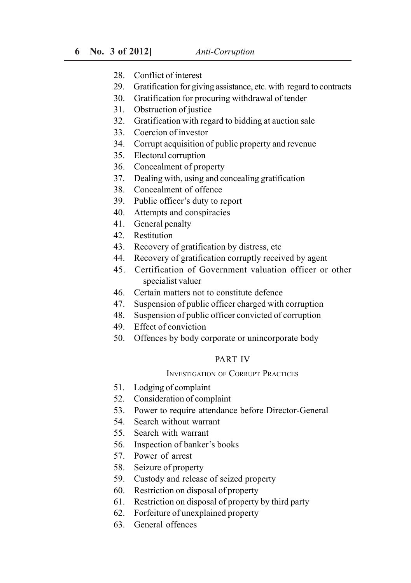- 28. Conflict of interest
- 29. Gratification for giving assistance, etc. with regard to contracts
- 30. Gratification for procuring withdrawal of tender
- 31. Obstruction of justice
- 32. Gratification with regard to bidding at auction sale
- 33. Coercion of investor
- 34. Corrupt acquisition of public property and revenue
- 35. Electoral corruption
- 36. Concealment of property
- 37. Dealing with, using and concealing gratification
- 38. Concealment of offence
- 39. Public officer's duty to report
- 40. Attempts and conspiracies
- 41. General penalty
- 42. Restitution
- 43. Recovery of gratification by distress, etc
- 44. Recovery of gratification corruptly received by agent
- 45. Certification of Government valuation officer or other specialist valuer
- 46. Certain matters not to constitute defence
- 47. Suspension of public officer charged with corruption
- 48. Suspension of public officer convicted of corruption
- 49. Effect of conviction
- 50. Offences by body corporate or unincorporate body

#### PART IV

#### INVESTIGATION OF CORRUPT PRACTICES

- 51. Lodging of complaint
- 52. Consideration of complaint
- 53. Power to require attendance before Director-General
- 54. Search without warrant
- 55. Search with warrant
- 56. Inspection of banker's books
- 57. Power of arrest
- 58. Seizure of property
- 59. Custody and release of seized property
- 60. Restriction on disposal of property
- 61. Restriction on disposal of property by third party
- 62. Forfeiture of unexplained property
- 63. General offences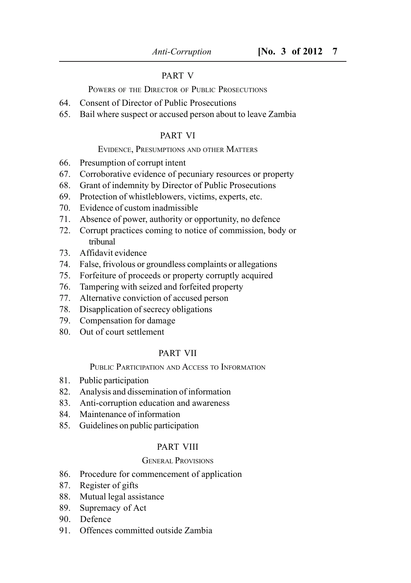## PART V

POWERS OF THE DIRECTOR OF PUBLIC PROSECUTIONS

- 64. Consent of Director of Public Prosecutions
- 65. Bail where suspect or accused person about to leave Zambia

#### PART VI

#### EVIDENCE, PRESUMPTIONS AND OTHER MATTERS

- 66. Presumption of corrupt intent
- 67. Corroborative evidence of pecuniary resources or property
- 68. Grant of indemnity by Director of Public Prosecutions
- 69. Protection of whistleblowers, victims, experts, etc.
- 70. Evidence of custom inadmissible
- 71. Absence of power, authority or opportunity, no defence
- 72. Corrupt practices coming to notice of commission, body or tribunal
- 73. Affidavit evidence
- 74. False, frivolous or groundless complaints or allegations
- 75. Forfeiture of proceeds or property corruptly acquired
- 76. Tampering with seized and forfeited property
- 77. Alternative conviction of accused person
- 78. Disapplication of secrecy obligations
- 79. Compensation for damage
- 80. Out of court settlement

#### PART VII

#### PUBLIC PARTICIPATION AND ACCESS TO INFORMATION

- 81. Public participation
- 82. Analysis and dissemination of information
- 83. Anti-corruption education and awareness
- 84. Maintenance of information
- 85. Guidelines on public participation

#### PART VIII

#### GENERAL PROVISIONS

- 86. Procedure for commencement of application
- 87. Register of gifts
- 88. Mutual legal assistance
- 89. Supremacy of Act
- 90. Defence
- 91. Offences committed outside Zambia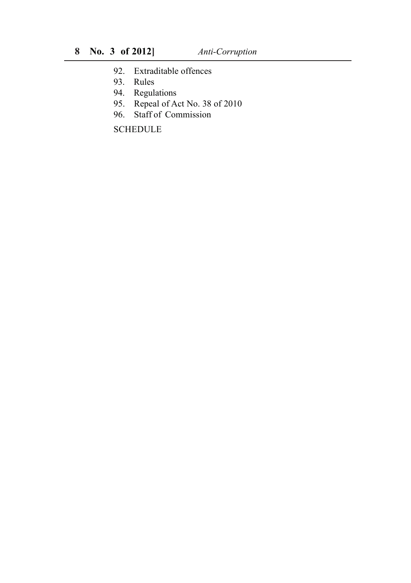- 92. Extraditable offences
- 93. Rules
- 94. Regulations
- 95. Repeal of Act No. 38 of 2010
- 96. Staff of Commission

**SCHEDULE**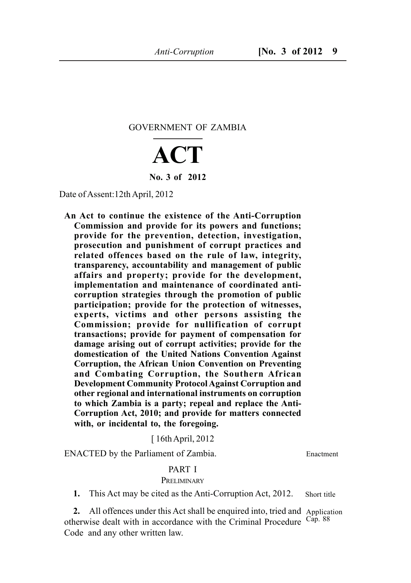GOVERNMENT OF ZAMBIA

# **ACT No. 3 of 2012**

Date of Assent:12th April, 2012

**An Act to continue the existence of the Anti-Corruption Commission and provide for its powers and functions; provide for the prevention, detection, investigation, prosecution and punishment of corrupt practices and related offences based on the rule of law, integrity, transparency, accountability and management of public affairs and property; provide for the development, implementation and maintenance of coordinated anticorruption strategies through the promotion of public participation; provide for the protection of witnesses, experts, victims and other persons assisting the Commission; provide for nullification of corrupt transactions; provide for payment of compensation for damage arising out of corrupt activities; provide for the domestication of the United Nations Convention Against Corruption, the African Union Convention on Preventing and Combating Corruption, the Southern African Development Community Protocol Against Corruption and other regional and international instruments on corruption to which Zambia is a party; repeal and replace the Anti-Corruption Act, 2010; and provide for matters connected with, or incidental to, the foregoing.**

[ 16th April, 2012

ENACTED by the Parliament of Zambia.

Enactment

#### PART I **PRELIMINARY**

**1.** This Act may be cited as the Anti-Corruption Act, 2012. Short title

**2.** All offences under this Act shall be enquired into, tried and Application otherwise dealt with in accordance with the Criminal Procedure  $\frac{\text{Cap. } 88}$ Code and any other written law.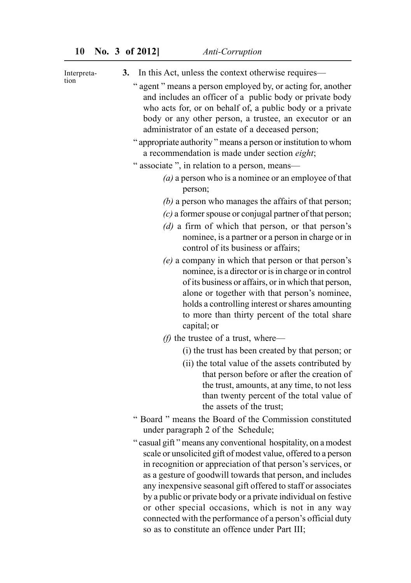tion

**3.** In this Act, unless the context otherwise requires— " agent " means a person employed by, or acting for, another and includes an officer of a public body or private body who acts for, or on behalf of, a public body or a private body or any other person, a trustee, an executor or an administrator of an estate of a deceased person; " appropriate authority " means a person or institution to whom a recommendation is made under section *eight*; " associate ", in relation to a person, means— *(a)* a person who is a nominee or an employee of that person; *(b)* a person who manages the affairs of that person; *(c)* a former spouse or conjugal partner of that person; *(d)* a firm of which that person, or that person's nominee, is a partner or a person in charge or in control of its business or affairs; *(e)* a company in which that person or that person's nominee, is a director or is in charge or in control of its business or affairs, or in which that person, alone or together with that person's nominee, holds a controlling interest or shares amounting to more than thirty percent of the total share capital; or *(f)* the trustee of a trust, where— Interpreta-

- (i) the trust has been created by that person; or
	- (ii) the total value of the assets contributed by that person before or after the creation of the trust, amounts, at any time, to not less than twenty percent of the total value of the assets of the trust;
- " Board " means the Board of the Commission constituted under paragraph 2 of the Schedule;
- " casual gift " means any conventional hospitality, on a modest scale or unsolicited gift of modest value, offered to a person in recognition or appreciation of that person's services, or as a gesture of goodwill towards that person, and includes any inexpensive seasonal gift offered to staff or associates by a public or private body or a private individual on festive or other special occasions, which is not in any way connected with the performance of a person's official duty so as to constitute an offence under Part III;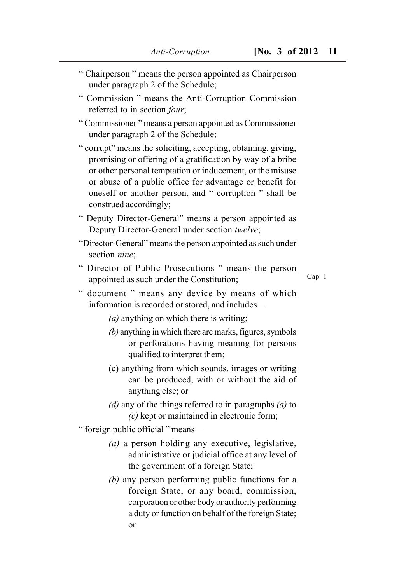- " Chairperson " means the person appointed as Chairperson under paragraph 2 of the Schedule;
- " Commission " means the Anti-Corruption Commission referred to in section *four*;
- " Commissioner " means a person appointed as Commissioner under paragraph 2 of the Schedule;
- " corrupt" means the soliciting, accepting, obtaining, giving, promising or offering of a gratification by way of a bribe or other personal temptation or inducement, or the misuse or abuse of a public office for advantage or benefit for oneself or another person, and " corruption " shall be construed accordingly;
- " Deputy Director-General" means a person appointed as Deputy Director-General under section *twelve*;
- "Director-General" means the person appointed as such under section *nine*;
- " Director of Public Prosecutions " means the person appointed as such under the Constitution;

Cap. 1

- " document " means any device by means of which information is recorded or stored, and includes—
	- *(a)* anything on which there is writing;
	- *(b)* anything in which there are marks, figures, symbols or perforations having meaning for persons qualified to interpret them;
	- (c) anything from which sounds, images or writing can be produced, with or without the aid of anything else; or
	- *(d)* any of the things referred to in paragraphs *(a)* to *(c)* kept or maintained in electronic form;

" foreign public official " means—

- *(a)* a person holding any executive, legislative, administrative or judicial office at any level of the government of a foreign State;
- *(b)* any person performing public functions for a foreign State, or any board, commission, corporation or other body or authority performing a duty or function on behalf of the foreign State; or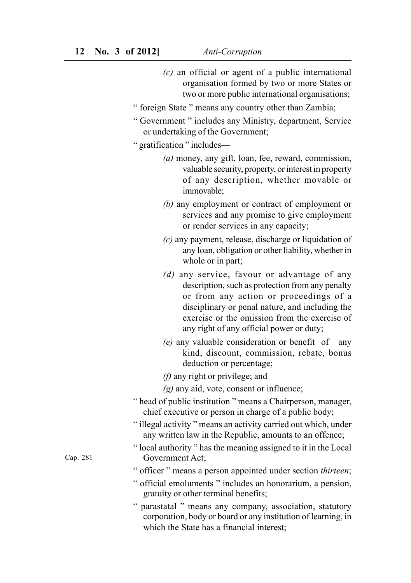- *(c)* an official or agent of a public international organisation formed by two or more States or two or more public international organisations;
- " foreign State " means any country other than Zambia;
- " Government " includes any Ministry, department, Service or undertaking of the Government;

|  |  | " gratification " includes- |  |  |  |
|--|--|-----------------------------|--|--|--|
|--|--|-----------------------------|--|--|--|

- *(a)* money, any gift, loan, fee, reward, commission, valuable security, property, or interest in property of any description, whether movable or immovable;
- *(b)* any employment or contract of employment or services and any promise to give employment or render services in any capacity;
- *(c)* any payment, release, discharge or liquidation of any loan, obligation or other liability, whether in whole or in part;
- *(d)* any service, favour or advantage of any description, such as protection from any penalty or from any action or proceedings of a disciplinary or penal nature, and including the exercise or the omission from the exercise of any right of any official power or duty;
- *(e)* any valuable consideration or benefit of any kind, discount, commission, rebate, bonus deduction or percentage;
- *(f)* any right or privilege; and
- *(g)* any aid, vote, consent or influence;
- " head of public institution " means a Chairperson, manager, chief executive or person in charge of a public body;
- " illegal activity " means an activity carried out which, under any written law in the Republic, amounts to an offence;
- " local authority " has the meaning assigned to it in the Local Government Act;
- " officer " means a person appointed under section *thirteen*;
- " official emoluments " includes an honorarium, a pension, gratuity or other terminal benefits;
- " parastatal " means any company, association, statutory corporation, body or board or any institution of learning, in which the State has a financial interest;

Cap. 281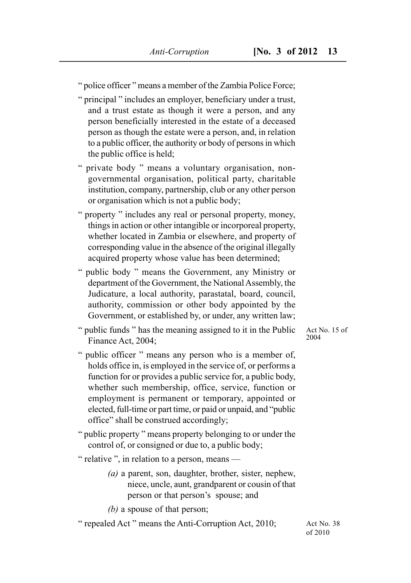" police officer " means a member of the Zambia Police Force;

- " principal " includes an employer, beneficiary under a trust, and a trust estate as though it were a person, and any person beneficially interested in the estate of a deceased person as though the estate were a person, and, in relation to a public officer, the authority or body of persons in which the public office is held;
- " private body " means a voluntary organisation, nongovernmental organisation, political party, charitable institution, company, partnership, club or any other person or organisation which is not a public body;
- " property " includes any real or personal property, money, things in action or other intangible or incorporeal property, whether located in Zambia or elsewhere, and property of corresponding value in the absence of the original illegally acquired property whose value has been determined;
- " public body " means the Government, any Ministry or department of the Government, the National Assembly, the Judicature, a local authority, parastatal, board, council, authority, commission or other body appointed by the Government, or established by, or under, any written law;
- " public funds " has the meaning assigned to it in the Public Finance Act, 2004;
- " public officer " means any person who is a member of, holds office in, is employed in the service of, or performs a function for or provides a public service for, a public body, whether such membership, office, service, function or employment is permanent or temporary, appointed or elected, full-time or part time, or paid or unpaid, and "public office" shall be construed accordingly;
- " public property " means property belonging to or under the control of, or consigned or due to, a public body;
- " relative ", in relation to a person, means
	- *(a)* a parent, son, daughter, brother, sister, nephew, niece, uncle, aunt, grandparent or cousin of that person or that person's spouse; and
	- *(b)* a spouse of that person;

" repealed Act " means the Anti-Corruption Act, 2010;

Act No. 15 of 2004

Act No. 38 of 2010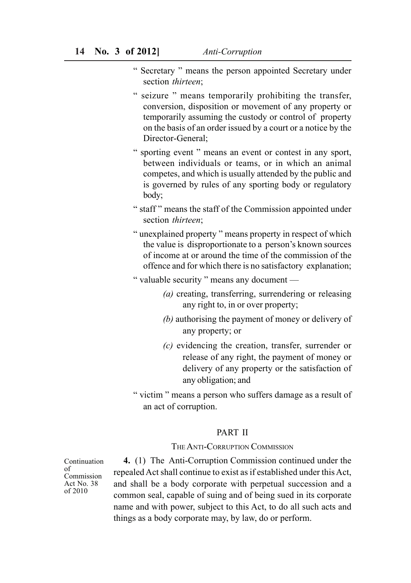- " Secretary " means the person appointed Secretary under section *thirteen*;
- " seizure " means temporarily prohibiting the transfer, conversion, disposition or movement of any property or temporarily assuming the custody or control of property on the basis of an order issued by a court or a notice by the Director-General;
- " sporting event " means an event or contest in any sport, between individuals or teams, or in which an animal competes, and which is usually attended by the public and is governed by rules of any sporting body or regulatory body;
- " staff " means the staff of the Commission appointed under section *thirteen*;
- " unexplained property " means property in respect of which the value is disproportionate to a person's known sources of income at or around the time of the commission of the offence and for which there is no satisfactory explanation;
- " valuable security " means any document
	- *(a)* creating, transferring, surrendering or releasing any right to, in or over property;
	- *(b)* authorising the payment of money or delivery of any property; or
	- *(c)* evidencing the creation, transfer, surrender or release of any right, the payment of money or delivery of any property or the satisfaction of any obligation; and
- " victim " means a person who suffers damage as a result of an act of corruption.

## PART II

#### THE ANTI-CORRUPTION COMMISSION

Continuation of Commission Act No. 38 of 2010

**4.** (1) The Anti-Corruption Commission continued under the repealed Act shall continue to exist as if established under this Act, and shall be a body corporate with perpetual succession and a common seal, capable of suing and of being sued in its corporate name and with power, subject to this Act, to do all such acts and things as a body corporate may, by law, do or perform.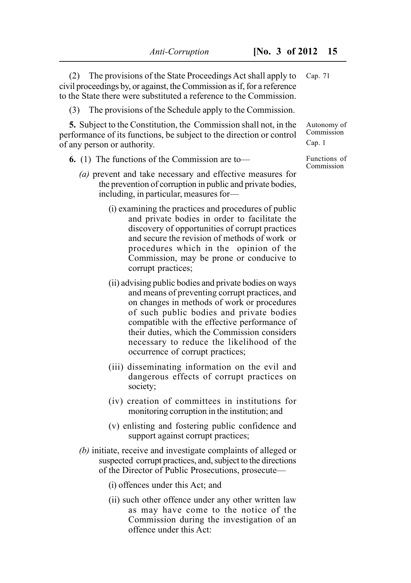(2) The provisions of the State Proceedings Act shall apply to civil proceedings by, or against, the Commission as if, for a reference to the State there were substituted a reference to the Commission. Cap. 71

(3) The provisions of the Schedule apply to the Commission.

**5.** Subject to the Constitution, the Commission shall not, in the performance of its functions, be subject to the direction or control of any person or authority.

**6.** (1) The functions of the Commission are to—

- *(a)* prevent and take necessary and effective measures for the prevention of corruption in public and private bodies, including, in particular, measures for—
	- (i) examining the practices and procedures of public and private bodies in order to facilitate the discovery of opportunities of corrupt practices and secure the revision of methods of work or procedures which in the opinion of the Commission, may be prone or conducive to corrupt practices;
	- (ii) advising public bodies and private bodies on ways and means of preventing corrupt practices, and on changes in methods of work or procedures of such public bodies and private bodies compatible with the effective performance of their duties, which the Commission considers necessary to reduce the likelihood of the occurrence of corrupt practices;
	- (iii) disseminating information on the evil and dangerous effects of corrupt practices on society;
	- (iv) creation of committees in institutions for monitoring corruption in the institution; and
	- (v) enlisting and fostering public confidence and support against corrupt practices;
- *(b)* initiate, receive and investigate complaints of alleged or suspected corrupt practices, and, subject to the directions of the Director of Public Prosecutions, prosecute—
	- (i) offences under this Act; and
	- (ii) such other offence under any other written law as may have come to the notice of the Commission during the investigation of an offence under this Act:

Autonomy of Commission Cap. 1

Functions of Commission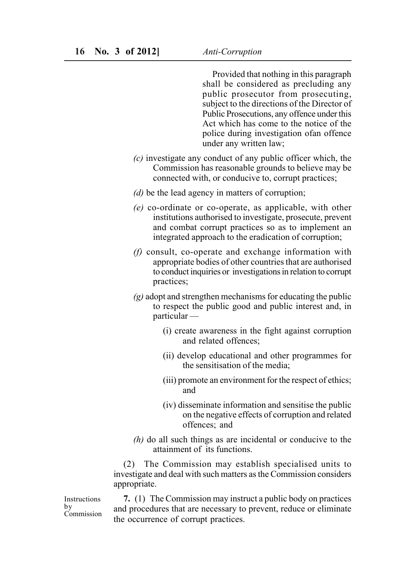Provided that nothing in this paragraph shall be considered as precluding any public prosecutor from prosecuting, subject to the directions of the Director of Public Prosecutions, any offence under this Act which has come to the notice of the police during investigation ofan offence under any written law;

- *(c)* investigate any conduct of any public officer which, the Commission has reasonable grounds to believe may be connected with, or conducive to, corrupt practices;
- *(d)* be the lead agency in matters of corruption;
- *(e)* co-ordinate or co-operate, as applicable, with other institutions authorised to investigate, prosecute, prevent and combat corrupt practices so as to implement an integrated approach to the eradication of corruption;
- *(f)* consult, co-operate and exchange information with appropriate bodies of other countries that are authorised to conduct inquiries or investigations in relation to corrupt practices;
- *(g)* adopt and strengthen mechanisms for educating the public to respect the public good and public interest and, in particular —
	- (i) create awareness in the fight against corruption and related offences;
	- (ii) develop educational and other programmes for the sensitisation of the media;
	- (iii) promote an environment for the respect of ethics; and
	- (iv) disseminate information and sensitise the public on the negative effects of corruption and related offences; and
- *(h)* do all such things as are incidental or conducive to the attainment of its functions.

(2) The Commission may establish specialised units to investigate and deal with such matters as the Commission considers appropriate.

Instructions by Commission

**7.** (1) The Commission may instruct a public body on practices and procedures that are necessary to prevent, reduce or eliminate the occurrence of corrupt practices.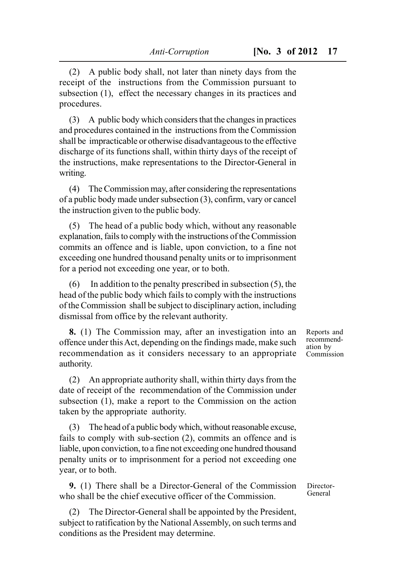(2) A public body shall, not later than ninety days from the receipt of the instructions from the Commission pursuant to subsection (1), effect the necessary changes in its practices and procedures.

(3) A public body which considers that the changes in practices and procedures contained in the instructions from the Commission shall be impracticable or otherwise disadvantageous to the effective discharge of its functions shall, within thirty days of the receipt of the instructions, make representations to the Director-General in writing.

(4) The Commission may, after considering the representations of a public body made under subsection (3), confirm, vary or cancel the instruction given to the public body.

(5) The head of a public body which, without any reasonable explanation, fails to comply with the instructions of the Commission commits an offence and is liable, upon conviction, to a fine not exceeding one hundred thousand penalty units or to imprisonment for a period not exceeding one year, or to both.

(6) In addition to the penalty prescribed in subsection (5), the head of the public body which fails to comply with the instructions of the Commission shall be subject to disciplinary action, including dismissal from office by the relevant authority.

**8.** (1) The Commission may, after an investigation into an offence under this Act, depending on the findings made, make such recommendation as it considers necessary to an appropriate authority.

(2) An appropriate authority shall, within thirty days from the date of receipt of the recommendation of the Commission under subsection (1), make a report to the Commission on the action taken by the appropriate authority.

(3) The head of a public body which, without reasonable excuse, fails to comply with sub-section (2), commits an offence and is liable, upon conviction, to a fine not exceeding one hundred thousand penalty units or to imprisonment for a period not exceeding one year, or to both.

**9.** (1) There shall be a Director-General of the Commission who shall be the chief executive officer of the Commission.

(2) The Director-General shall be appointed by the President, subject to ratification by the National Assembly, on such terms and conditions as the President may determine.

Reports and recommendation by Commission

Director-General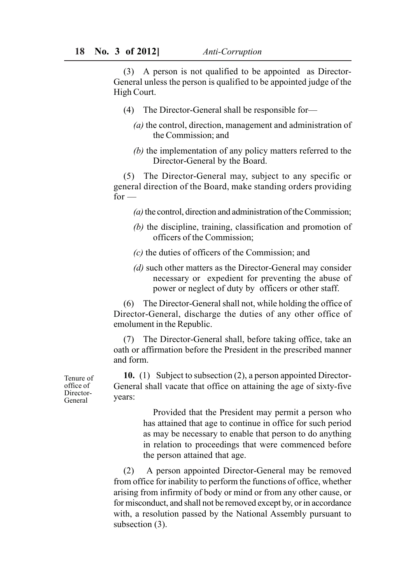(3) A person is not qualified to be appointed as Director-General unless the person is qualified to be appointed judge of the High Court.

- (4) The Director-General shall be responsible for—
	- *(a)* the control, direction, management and administration of the Commission; and
	- *(b)* the implementation of any policy matters referred to the Director-General by the Board.

(5) The Director-General may, subject to any specific or general direction of the Board, make standing orders providing  $for -$ 

- *(a)* the control, direction and administration of the Commission;
- *(b)* the discipline, training, classification and promotion of officers of the Commission;
- *(c)* the duties of officers of the Commission; and
- *(d)* such other matters as the Director-General may consider necessary or expedient for preventing the abuse of power or neglect of duty by officers or other staff.

(6) The Director-General shall not, while holding the office of Director-General, discharge the duties of any other office of emolument in the Republic.

(7) The Director-General shall, before taking office, take an oath or affirmation before the President in the prescribed manner and form.

**10.** (1) Subject to subsection (2), a person appointed Director-General shall vacate that office on attaining the age of sixty-five years:

> Provided that the President may permit a person who has attained that age to continue in office for such period as may be necessary to enable that person to do anything in relation to proceedings that were commenced before the person attained that age.

(2) A person appointed Director-General may be removed from office for inability to perform the functions of office, whether arising from infirmity of body or mind or from any other cause, or for misconduct, and shall not be removed except by, or in accordance with, a resolution passed by the National Assembly pursuant to subsection (3).

Tenure of office of Director-General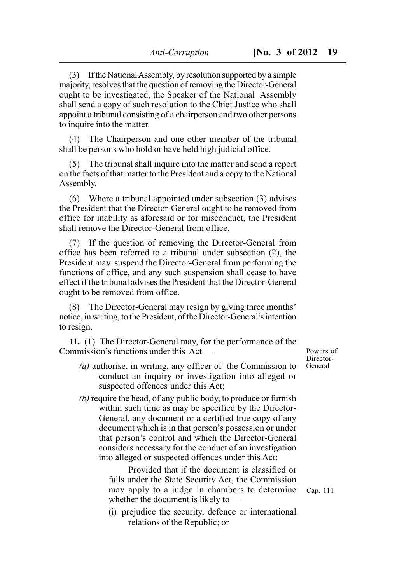(3) If the National Assembly, by resolution supported by a simple majority, resolves that the question of removing the Director-General ought to be investigated, the Speaker of the National Assembly shall send a copy of such resolution to the Chief Justice who shall appoint a tribunal consisting of a chairperson and two other persons to inquire into the matter.

(4) The Chairperson and one other member of the tribunal shall be persons who hold or have held high judicial office.

(5) The tribunal shall inquire into the matter and send a report on the facts of that matter to the President and a copy to the National Assembly.

(6) Where a tribunal appointed under subsection (3) advises the President that the Director-General ought to be removed from office for inability as aforesaid or for misconduct, the President shall remove the Director-General from office.

(7) If the question of removing the Director-General from office has been referred to a tribunal under subsection (2), the President may suspend the Director-General from performing the functions of office, and any such suspension shall cease to have effect if the tribunal advises the President that the Director-General ought to be removed from office.

(8) The Director-General may resign by giving three months' notice, in writing, to the President, of the Director-General's intention to resign.

**11.** (1) The Director-General may, for the performance of the Commission's functions under this Act —

- *(a)* authorise, in writing, any officer of the Commission to conduct an inquiry or investigation into alleged or suspected offences under this Act;
- *(b)* require the head, of any public body, to produce or furnish within such time as may be specified by the Director-General, any document or a certified true copy of any document which is in that person's possession or under that person's control and which the Director-General considers necessary for the conduct of an investigation into alleged or suspected offences under this Act:

Provided that if the document is classified or falls under the State Security Act, the Commission may apply to a judge in chambers to determine whether the document is likely to —

(i) prejudice the security, defence or international relations of the Republic; or

Powers of Director-General

Cap. 111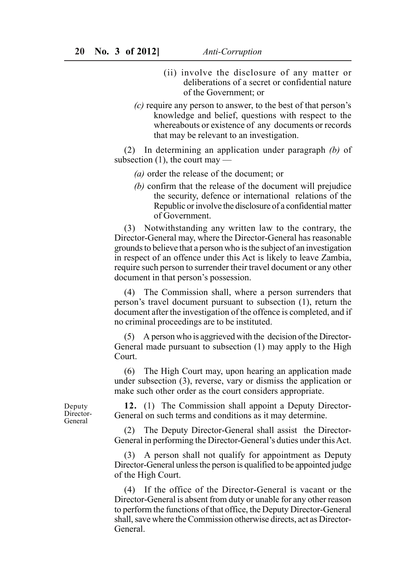- (ii) involve the disclosure of any matter or deliberations of a secret or confidential nature of the Government; or
- *(c)* require any person to answer, to the best of that person's knowledge and belief, questions with respect to the whereabouts or existence of any documents or records that may be relevant to an investigation.

(2) In determining an application under paragraph *(b)* of subsection  $(1)$ , the court may —

- *(a)* order the release of the document; or
- *(b)* confirm that the release of the document will prejudice the security, defence or international relations of the Republic or involve the disclosure of a confidential matter of Government.

(3) Notwithstanding any written law to the contrary, the Director-General may, where the Director-General has reasonable grounds to believe that a person who is the subject of an investigation in respect of an offence under this Act is likely to leave Zambia, require such person to surrender their travel document or any other document in that person's possession.

(4) The Commission shall, where a person surrenders that person's travel document pursuant to subsection (1), return the document after the investigation of the offence is completed, and if no criminal proceedings are to be instituted.

(5) A person who is aggrieved with the decision of the Director-General made pursuant to subsection (1) may apply to the High Court.

(6) The High Court may, upon hearing an application made under subsection (3), reverse, vary or dismiss the application or make such other order as the court considers appropriate.

**12.** (1) The Commission shall appoint a Deputy Director-General on such terms and conditions as it may determine.

(2) The Deputy Director-General shall assist the Director-General in performing the Director-General's duties under this Act.

(3) A person shall not qualify for appointment as Deputy Director-General unless the person is qualified to be appointed judge of the High Court.

(4) If the office of the Director-General is vacant or the Director-General is absent from duty or unable for any other reason to perform the functions of that office, the Deputy Director-General shall, save where the Commission otherwise directs, act as Director-General.

Deputy Director-General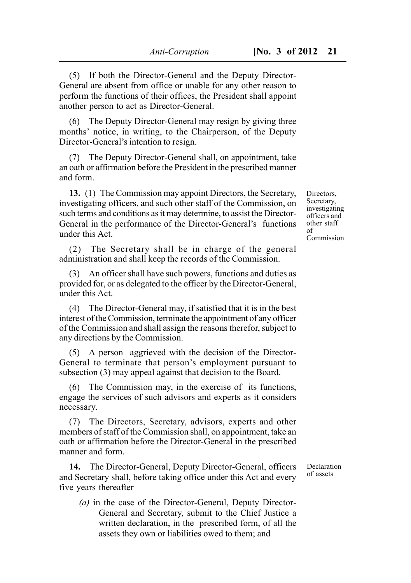(5) If both the Director-General and the Deputy Director-General are absent from office or unable for any other reason to perform the functions of their offices, the President shall appoint another person to act as Director-General.

(6) The Deputy Director-General may resign by giving three months' notice, in writing, to the Chairperson, of the Deputy Director-General's intention to resign.

(7) The Deputy Director-General shall, on appointment, take an oath or affirmation before the President in the prescribed manner and form.

**13.** (1) The Commission may appoint Directors, the Secretary, investigating officers, and such other staff of the Commission, on such terms and conditions as it may determine, to assist the Director-General in the performance of the Director-General's functions under this Act.

(2) The Secretary shall be in charge of the general administration and shall keep the records of the Commission.

(3) An officer shall have such powers, functions and duties as provided for, or as delegated to the officer by the Director-General, under this Act.

(4) The Director-General may, if satisfied that it is in the best interest of the Commission, terminate the appointment of any officer of the Commission and shall assign the reasons therefor, subject to any directions by the Commission.

(5) A person aggrieved with the decision of the Director-General to terminate that person's employment pursuant to subsection (3) may appeal against that decision to the Board.

(6) The Commission may, in the exercise of its functions, engage the services of such advisors and experts as it considers necessary.

(7) The Directors, Secretary, advisors, experts and other members of staff of the Commission shall, on appointment, take an oath or affirmation before the Director-General in the prescribed manner and form.

**14.** The Director-General, Deputy Director-General, officers and Secretary shall, before taking office under this Act and every five years thereafter —

*(a)* in the case of the Director-General, Deputy Director-General and Secretary, submit to the Chief Justice a written declaration, in the prescribed form, of all the assets they own or liabilities owed to them; and

Declaration of assets

Directors, Secretary, investigating officers and other staff of Commission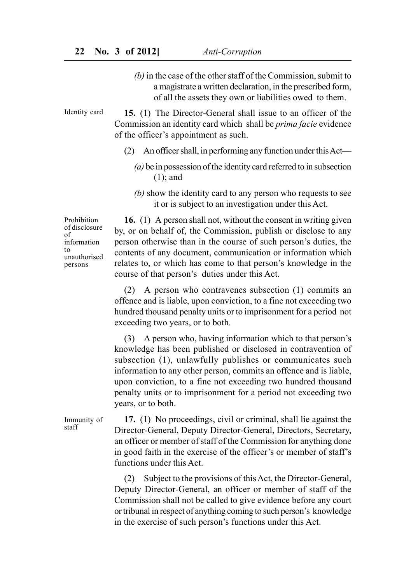*(b)* in the case of the other staff of the Commission, submit to a magistrate a written declaration, in the prescribed form, of all the assets they own or liabilities owed to them.

**15.** (1) The Director-General shall issue to an officer of the Commission an identity card which shall be *prima facie* evidence of the officer's appointment as such. Identity card

- (2) An officer shall, in performing any function under this Act—
	- *(a)* be in possession of the identity card referred to in subsection (1); and
	- *(b)* show the identity card to any person who requests to see it or is subject to an investigation under this Act.

Prohibition of disclosure of information to unauthorised persons

**16.** (1) A person shall not, without the consent in writing given by, or on behalf of, the Commission, publish or disclose to any person otherwise than in the course of such person's duties, the contents of any document, communication or information which relates to, or which has come to that person's knowledge in the course of that person's duties under this Act.

(2) A person who contravenes subsection (1) commits an offence and is liable, upon conviction, to a fine not exceeding two hundred thousand penalty units or to imprisonment for a period not exceeding two years, or to both.

(3) A person who, having information which to that person's knowledge has been published or disclosed in contravention of subsection (1), unlawfully publishes or communicates such information to any other person, commits an offence and is liable, upon conviction, to a fine not exceeding two hundred thousand penalty units or to imprisonment for a period not exceeding two years, or to both.

**17.** (1) No proceedings, civil or criminal, shall lie against the Director-General, Deputy Director-General, Directors, Secretary, an officer or member of staff of the Commission for anything done in good faith in the exercise of the officer's or member of staff's functions under this Act. Immunity of staff

> (2) Subject to the provisions of this Act, the Director-General, Deputy Director-General, an officer or member of staff of the Commission shall not be called to give evidence before any court or tribunal in respect of anything coming to such person's knowledge in the exercise of such person's functions under this Act.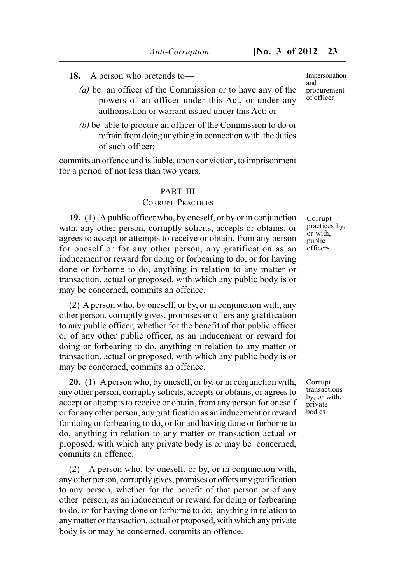**18.** A person who pretends to—

- *(a)* be an officer of the Commission or to have any of the powers of an officer under this Act, or under any authorisation or warrant issued under this Act; or
- *(b)* be able to procure an officer of the Commission to do or refrain from doing anything in connection with the duties of such officer;

commits an offence and is liable, upon conviction, to imprisonment for a period of not less than two years.

#### PART III

#### CORRUPT PRACTICES

**19.** (1) A public officer who, by oneself, or by or in conjunction with, any other person, corruptly solicits, accepts or obtains, or agrees to accept or attempts to receive or obtain, from any person for oneself or for any other person, any gratification as an inducement or reward for doing or forbearing to do, or for having done or forborne to do, anything in relation to any matter or transaction, actual or proposed, with which any public body is or may be concerned, commits an offence.

(2) A person who, by oneself, or by, or in conjunction with, any other person, corruptly gives, promises or offers any gratification to any public officer, whether for the benefit of that public officer or of any other public officer, as an inducement or reward for doing or forbearing to do, anything in relation to any matter or transaction, actual or proposed, with which any public body is or may be concerned, commits an offence.

**20.** (1) A person who, by oneself, or by, or in conjunction with, any other person, corruptly solicits, accepts or obtains, or agrees to accept or attempts to receive or obtain, from any person for oneself or for any other person, any gratification as an inducement or reward for doing or forbearing to do, or for and having done or forborne to do, anything in relation to any matter or transaction actual or proposed, with which any private body is or may be concerned, commits an offence.

(2) A person who, by oneself, or by, or in conjunction with, any other person, corruptly gives, promises or offers any gratification to any person, whether for the benefit of that person or of any other person, as an inducement or reward for doing or forbearing to do, or for having done or forborne to do, anything in relation to any matter or transaction, actual or proposed, with which any private body is or may be concerned, commits an offence.

Impersonation and procurement of officer

Corrupt practices by, or with, public **officers** 

Corrupt transactions by, or with, private bodies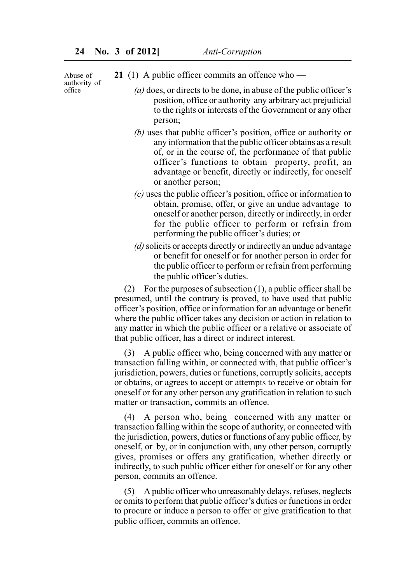Abuse of authority of office

- **21** (1) A public officer commits an offence who
	- *(a)* does, or directs to be done, in abuse of the public officer's position, office or authority any arbitrary act prejudicial to the rights or interests of the Government or any other person;
	- *(b)* uses that public officer's position, office or authority or any information that the public officer obtains as a result of, or in the course of, the performance of that public officer's functions to obtain property, profit, an advantage or benefit, directly or indirectly, for oneself or another person;
	- *(c)* uses the public officer's position, office or information to obtain, promise, offer, or give an undue advantage to oneself or another person, directly or indirectly, in order for the public officer to perform or refrain from performing the public officer's duties; or
	- *(d)* solicits or accepts directly or indirectly an undue advantage or benefit for oneself or for another person in order for the public officer to perform or refrain from performing the public officer's duties.

(2) For the purposes of subsection  $(1)$ , a public officer shall be presumed, until the contrary is proved, to have used that public officer's position, office or information for an advantage or benefit where the public officer takes any decision or action in relation to any matter in which the public officer or a relative or associate of that public officer, has a direct or indirect interest.

(3) A public officer who, being concerned with any matter or transaction falling within, or connected with, that public officer's jurisdiction, powers, duties or functions, corruptly solicits, accepts or obtains, or agrees to accept or attempts to receive or obtain for oneself or for any other person any gratification in relation to such matter or transaction, commits an offence.

(4) A person who, being concerned with any matter or transaction falling within the scope of authority, or connected with the jurisdiction, powers, duties or functions of any public officer, by oneself, or by, or in conjunction with, any other person, corruptly gives, promises or offers any gratification, whether directly or indirectly, to such public officer either for oneself or for any other person, commits an offence.

(5) A public officer who unreasonably delays, refuses, neglects or omits to perform that public officer's duties or functions in order to procure or induce a person to offer or give gratification to that public officer, commits an offence.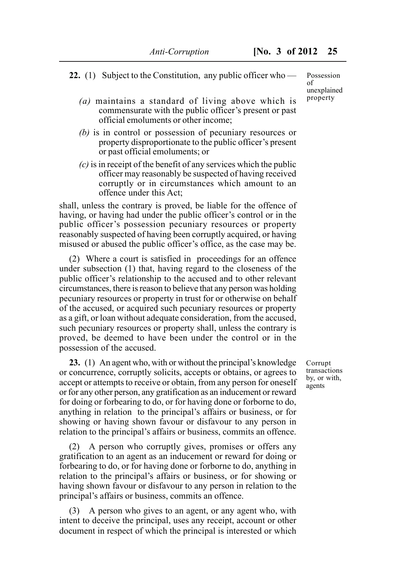- **22.** (1) Subject to the Constitution, any public officer who
	- *(a)* maintains a standard of living above which is commensurate with the public officer's present or past official emoluments or other income;
	- *(b)* is in control or possession of pecuniary resources or property disproportionate to the public officer's present or past official emoluments; or
	- *(c)* is in receipt of the benefit of any services which the public officer may reasonably be suspected of having received corruptly or in circumstances which amount to an offence under this Act;

shall, unless the contrary is proved, be liable for the offence of having, or having had under the public officer's control or in the public officer's possession pecuniary resources or property reasonably suspected of having been corruptly acquired, or having misused or abused the public officer's office, as the case may be.

(2) Where a court is satisfied in proceedings for an offence under subsection (1) that, having regard to the closeness of the public officer's relationship to the accused and to other relevant circumstances, there is reason to believe that any person was holding pecuniary resources or property in trust for or otherwise on behalf of the accused, or acquired such pecuniary resources or property as a gift, or loan without adequate consideration, from the accused, such pecuniary resources or property shall, unless the contrary is proved, be deemed to have been under the control or in the possession of the accused.

**23.** (1) An agent who, with or without the principal's knowledge or concurrence, corruptly solicits, accepts or obtains, or agrees to accept or attempts to receive or obtain, from any person for oneself or for any other person, any gratification as an inducement or reward for doing or forbearing to do, or for having done or forborne to do, anything in relation to the principal's affairs or business, or for showing or having shown favour or disfavour to any person in relation to the principal's affairs or business, commits an offence.

A person who corruptly gives, promises or offers any gratification to an agent as an inducement or reward for doing or forbearing to do, or for having done or forborne to do, anything in relation to the principal's affairs or business, or for showing or having shown favour or disfavour to any person in relation to the principal's affairs or business, commits an offence.

(3) A person who gives to an agent, or any agent who, with intent to deceive the principal, uses any receipt, account or other document in respect of which the principal is interested or which Corrupt transactions by, or with, agents

Possession of unexplained property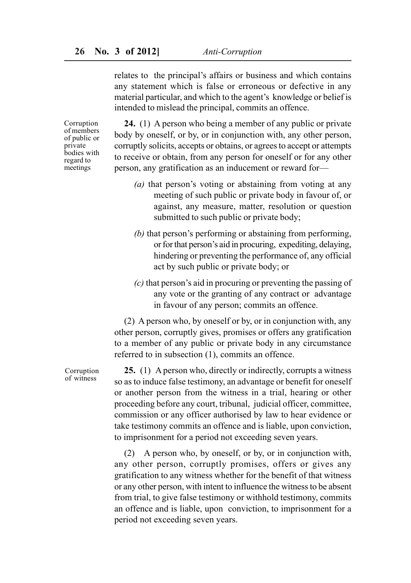relates to the principal's affairs or business and which contains any statement which is false or erroneous or defective in any material particular, and which to the agent's knowledge or belief is intended to mislead the principal, commits an offence.

Corruption of members of public or private bodies with regard to meetings

**24.** (1) A person who being a member of any public or private body by oneself, or by, or in conjunction with, any other person, corruptly solicits, accepts or obtains, or agrees to accept or attempts to receive or obtain, from any person for oneself or for any other person, any gratification as an inducement or reward for—

- *(a)* that person's voting or abstaining from voting at any meeting of such public or private body in favour of, or against, any measure, matter, resolution or question submitted to such public or private body;
- *(b)* that person's performing or abstaining from performing, or for that person's aid in procuring, expediting, delaying, hindering or preventing the performance of, any official act by such public or private body; or
- *(c)* that person's aid in procuring or preventing the passing of any vote or the granting of any contract or advantage in favour of any person; commits an offence.

(2) A person who, by oneself or by, or in conjunction with, any other person, corruptly gives, promises or offers any gratification to a member of any public or private body in any circumstance referred to in subsection (1), commits an offence.

**25.** (1) A person who, directly or indirectly, corrupts a witness so as to induce false testimony, an advantage or benefit for oneself or another person from the witness in a trial, hearing or other proceeding before any court, tribunal, judicial officer, committee, commission or any officer authorised by law to hear evidence or take testimony commits an offence and is liable, upon conviction, to imprisonment for a period not exceeding seven years.

(2) A person who, by oneself, or by, or in conjunction with, any other person, corruptly promises, offers or gives any gratification to any witness whether for the benefit of that witness or any other person, with intent to influence the witness to be absent from trial, to give false testimony or withhold testimony, commits an offence and is liable, upon conviction, to imprisonment for a period not exceeding seven years.

Corruption of witness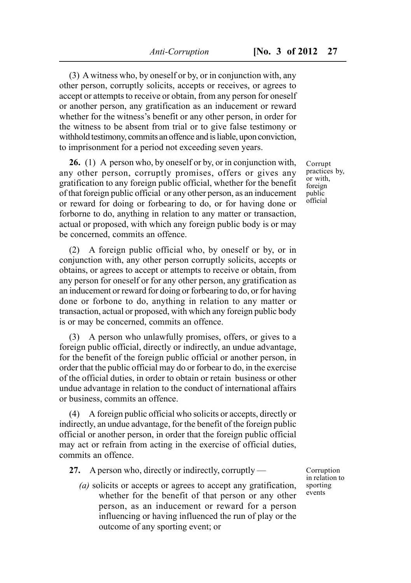(3) A witness who, by oneself or by, or in conjunction with, any other person, corruptly solicits, accepts or receives, or agrees to accept or attempts to receive or obtain, from any person for oneself or another person, any gratification as an inducement or reward whether for the witness's benefit or any other person, in order for the witness to be absent from trial or to give false testimony or withhold testimony, commits an offence and is liable, upon conviction, to imprisonment for a period not exceeding seven years.

**26.** (1) A person who, by oneself or by, or in conjunction with, any other person, corruptly promises, offers or gives any gratification to any foreign public official, whether for the benefit of that foreign public official or any other person, as an inducement or reward for doing or forbearing to do, or for having done or forborne to do, anything in relation to any matter or transaction, actual or proposed, with which any foreign public body is or may be concerned, commits an offence.

(2) A foreign public official who, by oneself or by, or in conjunction with, any other person corruptly solicits, accepts or obtains, or agrees to accept or attempts to receive or obtain, from any person for oneself or for any other person, any gratification as an inducement or reward for doing or forbearing to do, or for having done or forbone to do, anything in relation to any matter or transaction, actual or proposed, with which any foreign public body is or may be concerned, commits an offence.

(3) A person who unlawfully promises, offers, or gives to a foreign public official, directly or indirectly, an undue advantage, for the benefit of the foreign public official or another person, in order that the public official may do or forbear to do, in the exercise of the official duties, in order to obtain or retain business or other undue advantage in relation to the conduct of international affairs or business, commits an offence.

(4) A foreign public official who solicits or accepts, directly or indirectly, an undue advantage, for the benefit of the foreign public official or another person, in order that the foreign public official may act or refrain from acting in the exercise of official duties, commits an offence.

**27.** A person who, directly or indirectly, corruptly —

*(a)* solicits or accepts or agrees to accept any gratification, whether for the benefit of that person or any other person, as an inducement or reward for a person influencing or having influenced the run of play or the outcome of any sporting event; or

Corruption in relation to sporting events

Corrupt practices by, or with, foreign public official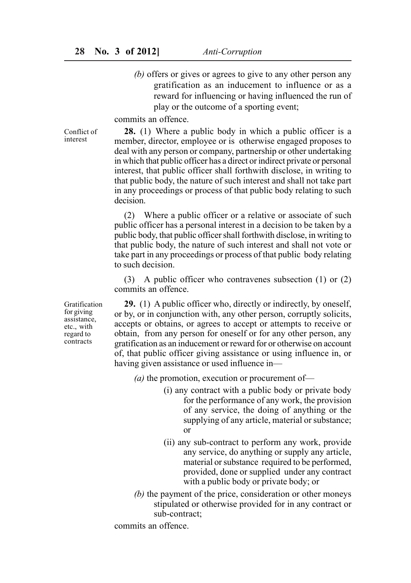*(b)* offers or gives or agrees to give to any other person any gratification as an inducement to influence or as a reward for influencing or having influenced the run of play or the outcome of a sporting event;

commits an offence.

Conflict of interest

**28.** (1) Where a public body in which a public officer is a member, director, employee or is otherwise engaged proposes to deal with any person or company, partnership or other undertaking in which that public officer has a direct or indirect private or personal interest, that public officer shall forthwith disclose, in writing to that public body, the nature of such interest and shall not take part in any proceedings or process of that public body relating to such decision.

(2) Where a public officer or a relative or associate of such public officer has a personal interest in a decision to be taken by a public body, that public officer shall forthwith disclose, in writing to that public body, the nature of such interest and shall not vote or take part in any proceedings or process of that public body relating to such decision.

(3) A public officer who contravenes subsection (1) or (2) commits an offence.

**29.** (1) A public officer who, directly or indirectly, by oneself, or by, or in conjunction with, any other person, corruptly solicits, accepts or obtains, or agrees to accept or attempts to receive or obtain, from any person for oneself or for any other person, any gratification as an inducement or reward for or otherwise on account of, that public officer giving assistance or using influence in, or having given assistance or used influence in—

*(a)* the promotion, execution or procurement of—

- (i) any contract with a public body or private body for the performance of any work, the provision of any service, the doing of anything or the supplying of any article, material or substance; or
- (ii) any sub-contract to perform any work, provide any service, do anything or supply any article, material or substance required to be performed, provided, done or supplied under any contract with a public body or private body; or
- *(b)* the payment of the price, consideration or other moneys stipulated or otherwise provided for in any contract or sub-contract;

commits an offence.

Gratification for giving assistance, etc., with regard to contracts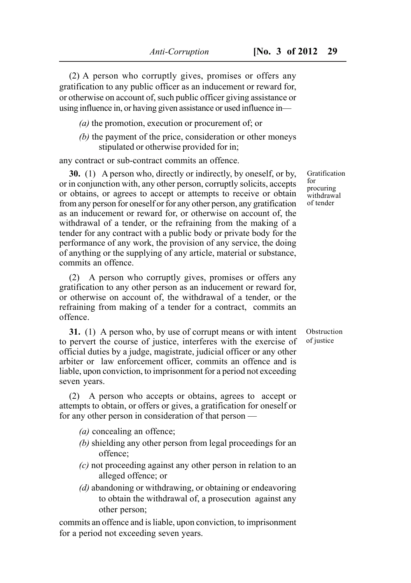(2) A person who corruptly gives, promises or offers any gratification to any public officer as an inducement or reward for, or otherwise on account of, such public officer giving assistance or using influence in, or having given assistance or used influence in—

- *(a)* the promotion, execution or procurement of; or
- *(b)* the payment of the price, consideration or other moneys stipulated or otherwise provided for in;

any contract or sub-contract commits an offence.

**30.** (1) A person who, directly or indirectly, by oneself, or by, or in conjunction with, any other person, corruptly solicits, accepts or obtains, or agrees to accept or attempts to receive or obtain from any person for oneself or for any other person, any gratification as an inducement or reward for, or otherwise on account of, the withdrawal of a tender, or the refraining from the making of a tender for any contract with a public body or private body for the performance of any work, the provision of any service, the doing of anything or the supplying of any article, material or substance, commits an offence.

(2) A person who corruptly gives, promises or offers any gratification to any other person as an inducement or reward for, or otherwise on account of, the withdrawal of a tender, or the refraining from making of a tender for a contract, commits an offence.

**31.** (1) A person who, by use of corrupt means or with intent to pervert the course of justice, interferes with the exercise of official duties by a judge, magistrate, judicial officer or any other arbiter or law enforcement officer, commits an offence and is liable, upon conviction, to imprisonment for a period not exceeding seven years.

(2) A person who accepts or obtains, agrees to accept or attempts to obtain, or offers or gives, a gratification for oneself or for any other person in consideration of that person —

- *(a)* concealing an offence;
- *(b)* shielding any other person from legal proceedings for an offence;
- *(c)* not proceeding against any other person in relation to an alleged offence; or
- *(d)* abandoning or withdrawing, or obtaining or endeavoring to obtain the withdrawal of, a prosecution against any other person;

commits an offence and is liable, upon conviction, to imprisonment for a period not exceeding seven years.

Gratification for procuring withdrawal of tender

Obstruction of justice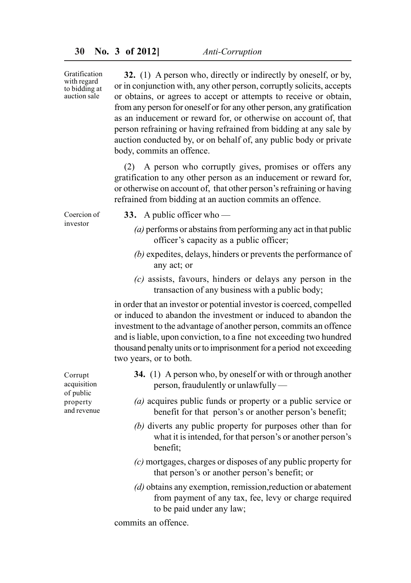Gratification with regard to bidding at auction sale

**32.** (1) A person who, directly or indirectly by oneself, or by, or in conjunction with, any other person, corruptly solicits, accepts or obtains, or agrees to accept or attempts to receive or obtain, from any person for oneself or for any other person, any gratification as an inducement or reward for, or otherwise on account of, that person refraining or having refrained from bidding at any sale by auction conducted by, or on behalf of, any public body or private body, commits an offence.

(2) A person who corruptly gives, promises or offers any gratification to any other person as an inducement or reward for, or otherwise on account of, that other person's refraining or having refrained from bidding at an auction commits an offence.

Coercion of investor

- **33.** A public officer who
	- *(a)* performs or abstains from performing any act in that public officer's capacity as a public officer;
	- *(b)* expedites, delays, hinders or prevents the performance of any act; or
	- *(c)* assists, favours, hinders or delays any person in the transaction of any business with a public body;

in order that an investor or potential investor is coerced, compelled or induced to abandon the investment or induced to abandon the investment to the advantage of another person, commits an offence and is liable, upon conviction, to a fine not exceeding two hundred thousand penalty units or to imprisonment for a period not exceeding two years, or to both.

- **34.** (1) A person who, by oneself or with or through another person, fraudulently or unlawfully — *(a)* acquires public funds or property or a public service or benefit for that person's or another person's benefit; *(b)* diverts any public property for purposes other than for what it is intended, for that person's or another person's benefit;
	- *(c)* mortgages, charges or disposes of any public property for that person's or another person's benefit; or
	- *(d)* obtains any exemption, remission,reduction or abatement from payment of any tax, fee, levy or charge required to be paid under any law;

commits an offence.

Corrupt acquisition of public property and revenue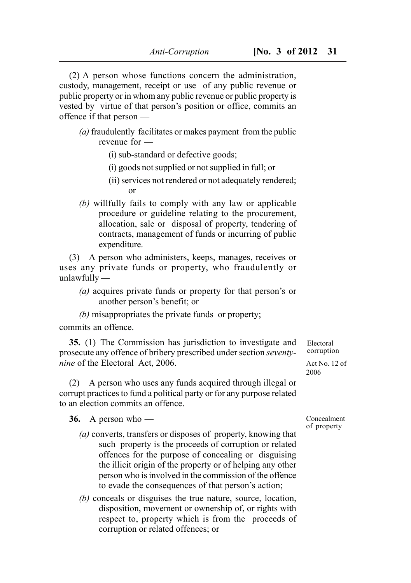(2) A person whose functions concern the administration, custody, management, receipt or use of any public revenue or public property or in whom any public revenue or public property is vested by virtue of that person's position or office, commits an offence if that person —

- *(a)* fraudulently facilitates or makes payment from the public revenue for —
	- (i) sub-standard or defective goods;
	- (i) goods not supplied or not supplied in full; or
	- (ii) services not rendered or not adequately rendered; or
- *(b)* willfully fails to comply with any law or applicable procedure or guideline relating to the procurement, allocation, sale or disposal of property, tendering of contracts, management of funds or incurring of public expenditure.

(3) A person who administers, keeps, manages, receives or uses any private funds or property, who fraudulently or unlawfully —

- *(a)* acquires private funds or property for that person's or another person's benefit; or
- *(b)* misappropriates the private funds or property;

commits an offence.

**35.** (1) The Commission has jurisdiction to investigate and prosecute any offence of bribery prescribed under section *seventynine* of the Electoral Act, 2006.

(2) A person who uses any funds acquired through illegal or corrupt practices to fund a political party or for any purpose related to an election commits an offence.

**36.** A person who —

- *(a)* converts, transfers or disposes of property, knowing that such property is the proceeds of corruption or related offences for the purpose of concealing or disguising the illicit origin of the property or of helping any other person who is involved in the commission of the offence to evade the consequences of that person's action;
- *(b)* conceals or disguises the true nature, source, location, disposition, movement or ownership of, or rights with respect to, property which is from the proceeds of corruption or related offences; or

corruption Act No. 12 of

Electoral

2006

Concealment of property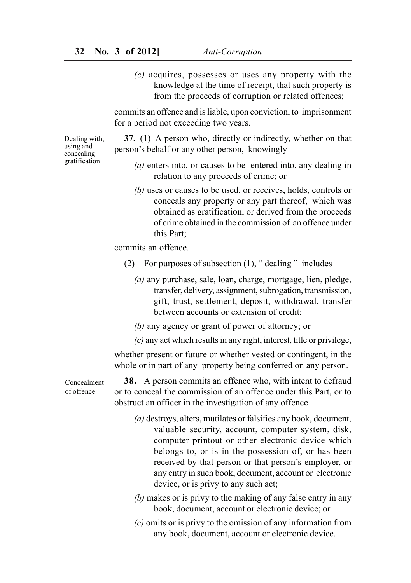*(c)* acquires, possesses or uses any property with the knowledge at the time of receipt, that such property is from the proceeds of corruption or related offences;

commits an offence and is liable, upon conviction, to imprisonment for a period not exceeding two years.

Dealing with, using and concealing gratification

- **37.** (1) A person who, directly or indirectly, whether on that person's behalf or any other person, knowingly —
	- *(a)* enters into, or causes to be entered into, any dealing in relation to any proceeds of crime; or
	- *(b)* uses or causes to be used, or receives, holds, controls or conceals any property or any part thereof, which was obtained as gratification, or derived from the proceeds of crime obtained in the commission of an offence under this Part;

commits an offence.

- (2) For purposes of subsection  $(1)$ , " dealing " includes
	- *(a)* any purchase, sale, loan, charge, mortgage, lien, pledge, transfer, delivery, assignment, subrogation, transmission, gift, trust, settlement, deposit, withdrawal, transfer between accounts or extension of credit;
	- *(b)* any agency or grant of power of attorney; or
	- *(c)* any act which results in any right, interest, title or privilege,

whether present or future or whether vested or contingent, in the whole or in part of any property being conferred on any person.

**38.** A person commits an offence who, with intent to defraud or to conceal the commission of an offence under this Part, or to obstruct an officer in the investigation of any offence —

- *(a)* destroys, alters, mutilates or falsifies any book, document, valuable security, account, computer system, disk, computer printout or other electronic device which belongs to, or is in the possession of, or has been received by that person or that person's employer, or any entry in such book, document, account or electronic device, or is privy to any such act;
- *(b)* makes or is privy to the making of any false entry in any book, document, account or electronic device; or
- *(c)* omits or is privy to the omission of any information from any book, document, account or electronic device.

Concealment of offence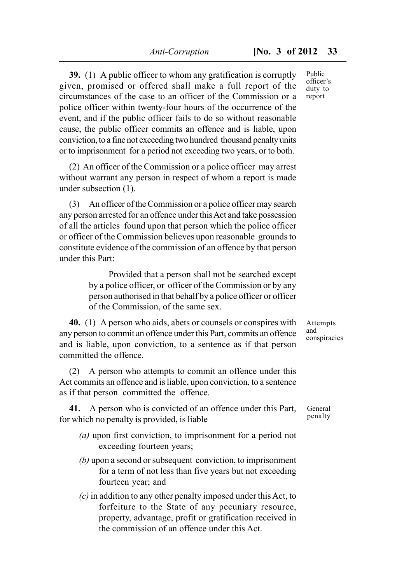**39.** (1) A public officer to whom any gratification is corruptly given, promised or offered shall make a full report of the circumstances of the case to an officer of the Commission or a police officer within twenty-four hours of the occurrence of the event, and if the public officer fails to do so without reasonable cause, the public officer commits an offence and is liable, upon conviction, to a fine not exceeding two hundred thousand penalty units or to imprisonment for a period not exceeding two years, or to both.

(2) An officer of the Commission or a police officer may arrest without warrant any person in respect of whom a report is made under subsection (1).

(3) An officer of the Commission or a police officer may search any person arrested for an offence under this Act and take possession of all the articles found upon that person which the police officer or officer of the Commission believes upon reasonable grounds to constitute evidence of the commission of an offence by that person under this Part:

> Provided that a person shall not be searched except by a police officer, or officer of the Commission or by any person authorised in that behalf by a police officer or officer of the Commission, of the same sex.

**40.** (1) A person who aids, abets or counsels or conspires with any person to commit an offence under this Part, commits an offence and is liable, upon conviction, to a sentence as if that person committed the offence.

(2) A person who attempts to commit an offence under this Act commits an offence and is liable, upon conviction, to a sentence as if that person committed the offence.

**41.** A person who is convicted of an offence under this Part, for which no penalty is provided, is liable —

- *(a)* upon first conviction, to imprisonment for a period not exceeding fourteen years;
- *(b)* upon a second or subsequent conviction, to imprisonment for a term of not less than five years but not exceeding fourteen year; and
- *(c)* in addition to any other penalty imposed under this Act, to forfeiture to the State of any pecuniary resource, property, advantage, profit or gratification received in the commission of an offence under this Act.

Public officer's duty to report

Attempts and conspiracies

General penalty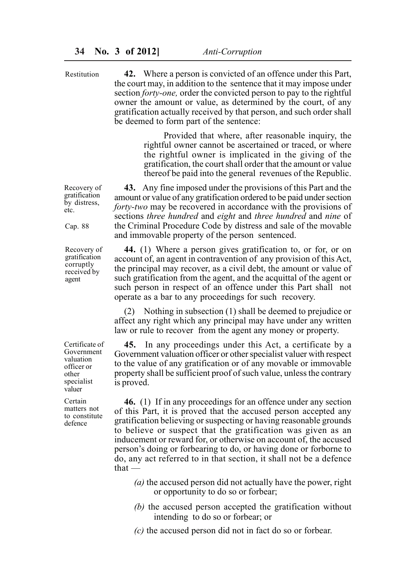**42.** Where a person is convicted of an offence under this Part, the court may, in addition to the sentence that it may impose under section *forty-one,* order the convicted person to pay to the rightful owner the amount or value, as determined by the court, of any gratification actually received by that person, and such order shall be deemed to form part of the sentence:

> Provided that where, after reasonable inquiry, the rightful owner cannot be ascertained or traced, or where the rightful owner is implicated in the giving of the gratification, the court shall order that the amount or value thereof be paid into the general revenues of the Republic.

**43.** Any fine imposed under the provisions of this Part and the amount or value of any gratification ordered to be paid under section *forty-two* may be recovered in accordance with the provisions of sections *three hundred* and *eight* and *three hundred* and *nine* of the Criminal Procedure Code by distress and sale of the movable and immovable property of the person sentenced.

**44.** (1) Where a person gives gratification to, or for, or on account of, an agent in contravention of any provision of this Act, the principal may recover, as a civil debt, the amount or value of such gratification from the agent, and the acquittal of the agent or such person in respect of an offence under this Part shall not operate as a bar to any proceedings for such recovery.

(2) Nothing in subsection (1) shall be deemed to prejudice or affect any right which any principal may have under any written law or rule to recover from the agent any money or property.

**45.** In any proceedings under this Act, a certificate by a Government valuation officer or other specialist valuer with respect to the value of any gratification or of any movable or immovable property shall be sufficient proof of such value, unless the contrary is proved.

**46.** (1) If in any proceedings for an offence under any section of this Part, it is proved that the accused person accepted any gratification believing or suspecting or having reasonable grounds to believe or suspect that the gratification was given as an inducement or reward for, or otherwise on account of, the accused person's doing or forbearing to do, or having done or forborne to do, any act referred to in that section, it shall not be a defence  $that -$ 

- *(a)* the accused person did not actually have the power, right or opportunity to do so or forbear;
- *(b)* the accused person accepted the gratification without intending to do so or forbear; or
- *(c)* the accused person did not in fact do so or forbear.

Recovery of gratification by distress, etc.

Restitution

Cap. 88

Recovery of gratification corruptly received by agent

Certificate of Government valuation officer or other specialist valuer

Certain matters not to constitute defence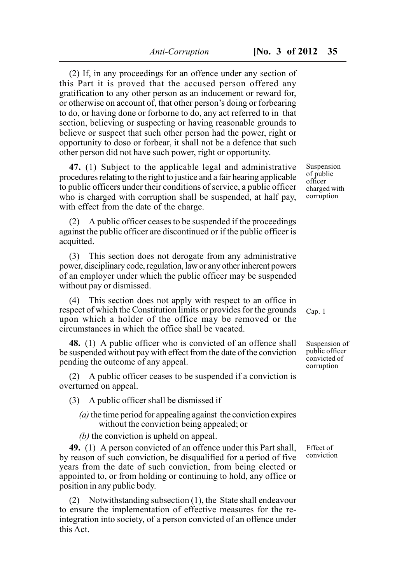(2) If, in any proceedings for an offence under any section of this Part it is proved that the accused person offered any gratification to any other person as an inducement or reward for, or otherwise on account of, that other person's doing or forbearing to do, or having done or forborne to do, any act referred to in that section, believing or suspecting or having reasonable grounds to believe or suspect that such other person had the power, right or opportunity to doso or forbear, it shall not be a defence that such other person did not have such power, right or opportunity.

**47.** (1) Subject to the applicable legal and administrative procedures relating to the right to justice and a fair hearing applicable to public officers under their conditions of service, a public officer who is charged with corruption shall be suspended, at half pay, with effect from the date of the charge.

(2) A public officer ceases to be suspended if the proceedings against the public officer are discontinued or if the public officer is acquitted.

(3) This section does not derogate from any administrative power, disciplinary code, regulation, law or any other inherent powers of an employer under which the public officer may be suspended without pay or dismissed.

(4) This section does not apply with respect to an office in respect of which the Constitution limits or provides for the grounds upon which a holder of the office may be removed or the circumstances in which the office shall be vacated.

**48.** (1) A public officer who is convicted of an offence shall be suspended without pay with effect from the date of the conviction pending the outcome of any appeal.

(2) A public officer ceases to be suspended if a conviction is overturned on appeal.

(3) A public officer shall be dismissed if  $-$ 

- *(a)* the time period for appealing against the conviction expires without the conviction being appealed; or
- *(b)* the conviction is upheld on appeal.

**49.** (1) A person convicted of an offence under this Part shall, by reason of such conviction, be disqualified for a period of five years from the date of such conviction, from being elected or appointed to, or from holding or continuing to hold, any office or position in any public body.

(2) Notwithstanding subsection (1), the State shall endeavour to ensure the implementation of effective measures for the reintegration into society, of a person convicted of an offence under this Act.

Suspension of public officer charged with corruption

Cap. 1

Suspension of public officer convicted of corruption

Effect of conviction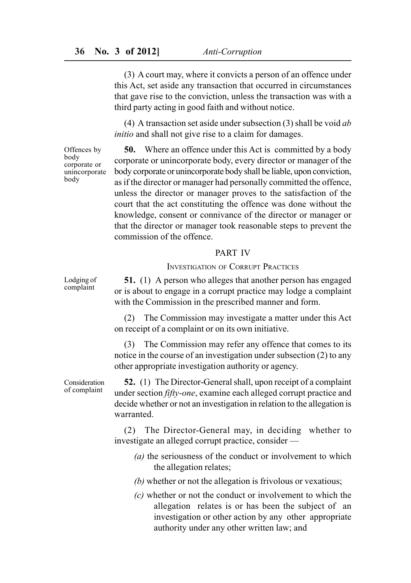(3) A court may, where it convicts a person of an offence under this Act, set aside any transaction that occurred in circumstances that gave rise to the conviction, unless the transaction was with a third party acting in good faith and without notice.

(4) A transaction set aside under subsection (3) shall be void *ab initio* and shall not give rise to a claim for damages.

Offences by body corporate or unincorporate body

**50.** Where an offence under this Act is committed by a body corporate or unincorporate body, every director or manager of the body corporate or unincorporate body shall be liable, upon conviction, as if the director or manager had personally committed the offence, unless the director or manager proves to the satisfaction of the court that the act constituting the offence was done without the knowledge, consent or connivance of the director or manager or that the director or manager took reasonable steps to prevent the commission of the offence.

#### PART IV

#### INVESTIGATION OF CORRUPT PRACTICES

**51.** (1) A person who alleges that another person has engaged or is about to engage in a corrupt practice may lodge a complaint with the Commission in the prescribed manner and form.

(2) The Commission may investigate a matter under this Act on receipt of a complaint or on its own initiative.

(3) The Commission may refer any offence that comes to its notice in the course of an investigation under subsection (2) to any other appropriate investigation authority or agency.

Consideration of complaint

**52.** (1) The Director-General shall, upon receipt of a complaint under section *fifty-one*, examine each alleged corrupt practice and decide whether or not an investigation in relation to the allegation is warranted.

(2) The Director-General may, in deciding whether to investigate an alleged corrupt practice, consider —

- *(a)* the seriousness of the conduct or involvement to which the allegation relates;
- *(b)* whether or not the allegation is frivolous or vexatious;
- *(c)* whether or not the conduct or involvement to which the allegation relates is or has been the subject of an investigation or other action by any other appropriate authority under any other written law; and

Lodging of complaint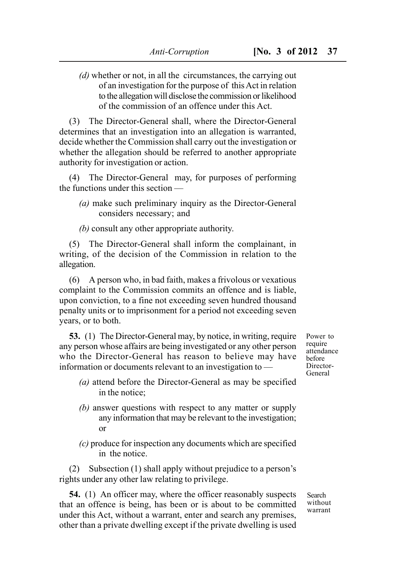- *Anti-Corruption* **[No. 3 of 2012 37**
- *(d)* whether or not, in all the circumstances, the carrying out of an investigation for the purpose of this Act in relation to the allegation will disclose the commission or likelihood of the commission of an offence under this Act.

(3) The Director-General shall, where the Director-General determines that an investigation into an allegation is warranted, decide whether the Commission shall carry out the investigation or whether the allegation should be referred to another appropriate authority for investigation or action.

(4) The Director-General may, for purposes of performing the functions under this section —

- *(a)* make such preliminary inquiry as the Director-General considers necessary; and
- *(b)* consult any other appropriate authority.

(5) The Director-General shall inform the complainant, in writing, of the decision of the Commission in relation to the allegation.

(6) A person who, in bad faith, makes a frivolous or vexatious complaint to the Commission commits an offence and is liable, upon conviction, to a fine not exceeding seven hundred thousand penalty units or to imprisonment for a period not exceeding seven years, or to both.

**53.** (1) The Director-General may, by notice, in writing, require any person whose affairs are being investigated or any other person who the Director-General has reason to believe may have information or documents relevant to an investigation to —

- *(a)* attend before the Director-General as may be specified in the notice;
- *(b)* answer questions with respect to any matter or supply any information that may be relevant to the investigation; or
- *(c)* produce for inspection any documents which are specified in the notice.

(2) Subsection (1) shall apply without prejudice to a person's rights under any other law relating to privilege.

**54.** (1) An officer may, where the officer reasonably suspects that an offence is being, has been or is about to be committed under this Act, without a warrant, enter and search any premises, other than a private dwelling except if the private dwelling is used Power to require attendance before Director-General

Search without warrant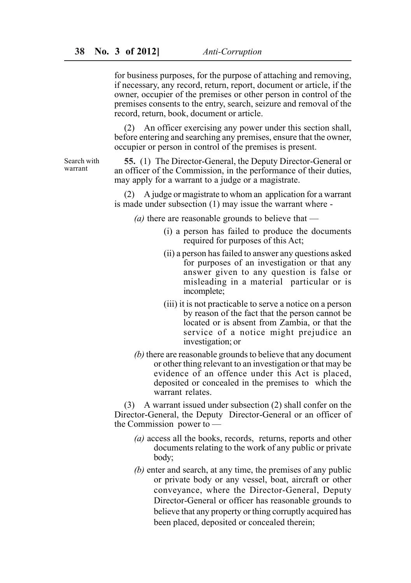for business purposes, for the purpose of attaching and removing, if necessary, any record, return, report, document or article, if the owner, occupier of the premises or other person in control of the premises consents to the entry, search, seizure and removal of the record, return, book, document or article.

(2) An officer exercising any power under this section shall, before entering and searching any premises, ensure that the owner, occupier or person in control of the premises is present.

Search with warrant

**55.** (1) The Director-General, the Deputy Director-General or an officer of the Commission, in the performance of their duties, may apply for a warrant to a judge or a magistrate.

(2) A judge or magistrate to whom an application for a warrant is made under subsection (1) may issue the warrant where -

*(a)* there are reasonable grounds to believe that —

- (i) a person has failed to produce the documents required for purposes of this Act;
- (ii) a person has failed to answer any questions asked for purposes of an investigation or that any answer given to any question is false or misleading in a material particular or is incomplete;
- (iii) it is not practicable to serve a notice on a person by reason of the fact that the person cannot be located or is absent from Zambia, or that the service of a notice might prejudice an investigation; or
- *(b)* there are reasonable grounds to believe that any document or other thing relevant to an investigation or that may be evidence of an offence under this Act is placed, deposited or concealed in the premises to which the warrant relates.

(3) A warrant issued under subsection (2) shall confer on the Director-General, the Deputy Director-General or an officer of the Commission power to —

- *(a)* access all the books, records, returns, reports and other documents relating to the work of any public or private body;
- *(b)* enter and search, at any time, the premises of any public or private body or any vessel, boat, aircraft or other conveyance, where the Director-General, Deputy Director-General or officer has reasonable grounds to believe that any property or thing corruptly acquired has been placed, deposited or concealed therein;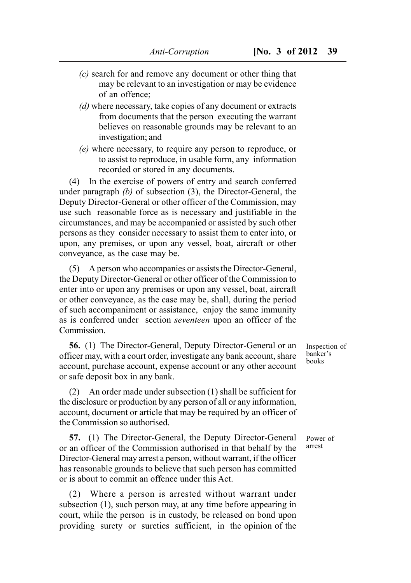- *(c)* search for and remove any document or other thing that may be relevant to an investigation or may be evidence of an offence;
- *(d)* where necessary, take copies of any document or extracts from documents that the person executing the warrant believes on reasonable grounds may be relevant to an investigation; and
- *(e)* where necessary, to require any person to reproduce, or to assist to reproduce, in usable form, any information recorded or stored in any documents.

(4) In the exercise of powers of entry and search conferred under paragraph *(b)* of subsection (3), the Director-General, the Deputy Director-General or other officer of the Commission, may use such reasonable force as is necessary and justifiable in the circumstances, and may be accompanied or assisted by such other persons as they consider necessary to assist them to enter into, or upon, any premises, or upon any vessel, boat, aircraft or other conveyance, as the case may be.

(5) A person who accompanies or assists the Director-General, the Deputy Director-General or other officer of the Commission to enter into or upon any premises or upon any vessel, boat, aircraft or other conveyance, as the case may be, shall, during the period of such accompaniment or assistance, enjoy the same immunity as is conferred under section *seventeen* upon an officer of the **Commission** 

**56.** (1) The Director-General, Deputy Director-General or an officer may, with a court order, investigate any bank account, share account, purchase account, expense account or any other account or safe deposit box in any bank.

(2) An order made under subsection (1) shall be sufficient for the disclosure or production by any person of all or any information, account, document or article that may be required by an officer of the Commission so authorised.

**57.** (1) The Director-General, the Deputy Director-General or an officer of the Commission authorised in that behalf by the Director-General may arrest a person, without warrant, if the officer has reasonable grounds to believe that such person has committed or is about to commit an offence under this Act.

(2) Where a person is arrested without warrant under subsection (1), such person may, at any time before appearing in court, while the person is in custody, be released on bond upon providing surety or sureties sufficient, in the opinion of the Inspection of banker's books

Power of arrest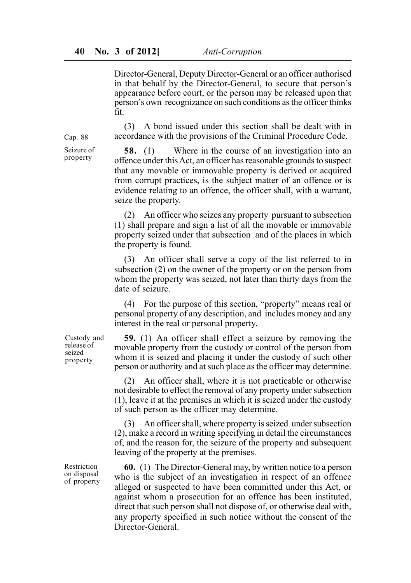Director-General, Deputy Director-General or an officer authorised in that behalf by the Director-General, to secure that person's appearance before court, or the person may be released upon that person's own recognizance on such conditions as the officer thinks fit.

(3) A bond issued under this section shall be dealt with in accordance with the provisions of the Criminal Procedure Code.

**58.** (1) Where in the course of an investigation into an offence under this Act, an officer has reasonable grounds to suspect that any movable or immovable property is derived or acquired from corrupt practices, is the subject matter of an offence or is evidence relating to an offence, the officer shall, with a warrant, seize the property.

(2) An officer who seizes any property pursuant to subsection (1) shall prepare and sign a list of all the movable or immovable property seized under that subsection and of the places in which the property is found.

(3) An officer shall serve a copy of the list referred to in subsection (2) on the owner of the property or on the person from whom the property was seized, not later than thirty days from the date of seizure.

(4) For the purpose of this section, "property" means real or personal property of any description, and includes money and any interest in the real or personal property.

**59.** (1) An officer shall effect a seizure by removing the movable property from the custody or control of the person from whom it is seized and placing it under the custody of such other person or authority and at such place as the officer may determine.

(2) An officer shall, where it is not practicable or otherwise not desirable to effect the removal of any property under subsection (1), leave it at the premises in which it is seized under the custody of such person as the officer may determine.

(3) An officer shall, where property is seized under subsection (2), make a record in writing specifying in detail the circumstances of, and the reason for, the seizure of the property and subsequent leaving of the property at the premises.

**60.** (1) The Director-General may, by written notice to a person who is the subject of an investigation in respect of an offence alleged or suspected to have been committed under this Act, or against whom a prosecution for an offence has been instituted, direct that such person shall not dispose of, or otherwise deal with, any property specified in such notice without the consent of the Director-General.

Custody and release of seized property

Restriction on disposal of property

Cap. 88 Seizure of

property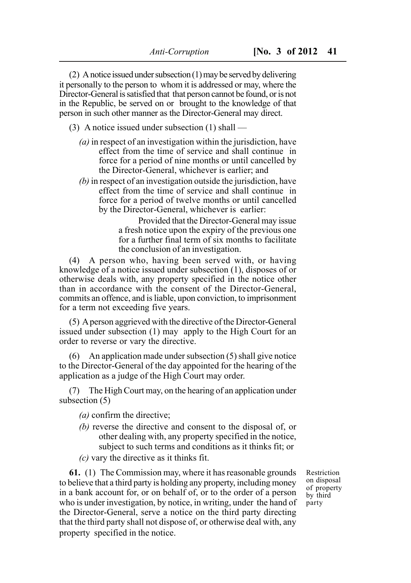(2) A notice issued under subsection (1) may be served by delivering it personally to the person to whom it is addressed or may, where the Director-General is satisfied that that person cannot be found, or is not in the Republic, be served on or brought to the knowledge of that person in such other manner as the Director-General may direct.

- (3) A notice issued under subsection (1) shall
	- *(a)* in respect of an investigation within the jurisdiction, have effect from the time of service and shall continue in force for a period of nine months or until cancelled by the Director-General, whichever is earlier; and
	- *(b)* in respect of an investigation outside the jurisdiction, have effect from the time of service and shall continue in force for a period of twelve months or until cancelled by the Director-General, whichever is earlier:

Provided that the Director-General may issue a fresh notice upon the expiry of the previous one for a further final term of six months to facilitate the conclusion of an investigation.

(4) A person who, having been served with, or having knowledge of a notice issued under subsection (1), disposes of or otherwise deals with, any property specified in the notice other than in accordance with the consent of the Director-General, commits an offence, and is liable, upon conviction, to imprisonment for a term not exceeding five years.

(5) A person aggrieved with the directive of the Director-General issued under subsection (1) may apply to the High Court for an order to reverse or vary the directive.

(6) An application made under subsection (5) shall give notice to the Director-General of the day appointed for the hearing of the application as a judge of the High Court may order.

(7) The High Court may, on the hearing of an application under subsection (5)

- *(a)* confirm the directive;
- *(b)* reverse the directive and consent to the disposal of, or other dealing with, any property specified in the notice, subject to such terms and conditions as it thinks fit; or
- *(c)* vary the directive as it thinks fit.

**61.** (1) The Commission may, where it has reasonable grounds to believe that a third party is holding any property, including money in a bank account for, or on behalf of, or to the order of a person who is under investigation, by notice, in writing, under the hand of the Director-General, serve a notice on the third party directing that the third party shall not dispose of, or otherwise deal with, any property specified in the notice.

Restriction on disposal of property by third party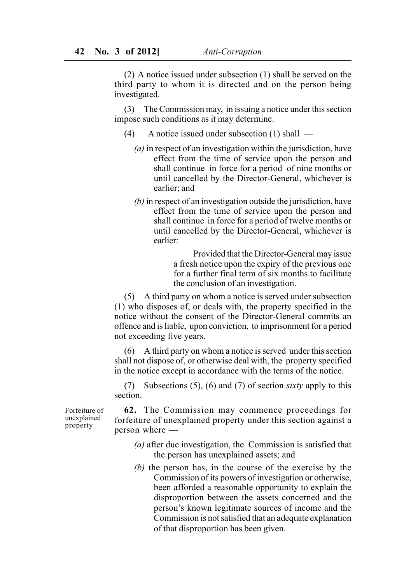(2) A notice issued under subsection (1) shall be served on the third party to whom it is directed and on the person being investigated.

(3) The Commission may, in issuing a notice under this section impose such conditions as it may determine.

- (4) A notice issued under subsection (1) shall
	- *(a)* in respect of an investigation within the jurisdiction, have effect from the time of service upon the person and shall continue in force for a period of nine months or until cancelled by the Director-General, whichever is earlier; and
	- *(b)* in respect of an investigation outside the jurisdiction, have effect from the time of service upon the person and shall continue in force for a period of twelve months or until cancelled by the Director-General, whichever is earlier:

Provided that the Director-General may issue a fresh notice upon the expiry of the previous one for a further final term of six months to facilitate the conclusion of an investigation.

(5) A third party on whom a notice is served under subsection (1) who disposes of, or deals with, the property specified in the notice without the consent of the Director-General commits an offence and is liable, upon conviction, to imprisonment for a period not exceeding five years.

(6) A third party on whom a notice is served under this section shall not dispose of, or otherwise deal with, the property specified in the notice except in accordance with the terms of the notice.

(7) Subsections (5), (6) and (7) of section *sixty* apply to this section.

Forfeiture of unexplained property

**62.** The Commission may commence proceedings for forfeiture of unexplained property under this section against a person where —

- *(a)* after due investigation, the Commission is satisfied that the person has unexplained assets; and
- *(b)* the person has, in the course of the exercise by the Commission of its powers of investigation or otherwise, been afforded a reasonable opportunity to explain the disproportion between the assets concerned and the person's known legitimate sources of income and the Commission is not satisfied that an adequate explanation of that disproportion has been given.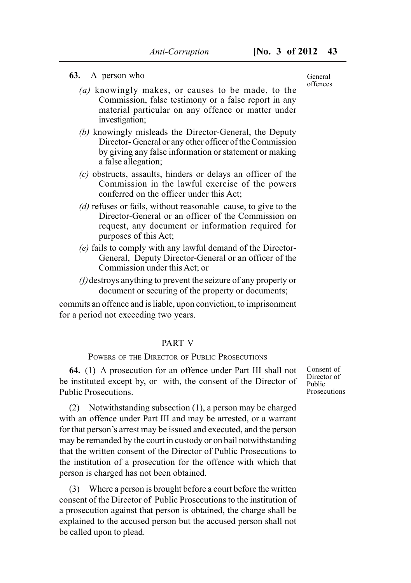#### **63.** A person who—

- *(a)* knowingly makes, or causes to be made, to the Commission, false testimony or a false report in any material particular on any offence or matter under investigation;
- *(b)* knowingly misleads the Director-General, the Deputy Director- General or any other officer of the Commission by giving any false information or statement or making a false allegation;
- *(c)* obstructs, assaults, hinders or delays an officer of the Commission in the lawful exercise of the powers conferred on the officer under this Act;
- *(d)* refuses or fails, without reasonable cause, to give to the Director-General or an officer of the Commission on request, any document or information required for purposes of this Act;
- *(e)* fails to comply with any lawful demand of the Director-General, Deputy Director-General or an officer of the Commission under this Act; or
- *(f)*destroys anything to prevent the seizure of any property or document or securing of the property or documents;

commits an offence and is liable, upon conviction, to imprisonment for a period not exceeding two years.

## PART V

## POWERS OF THE DIRECTOR OF PUBLIC PROSECUTIONS

**64.** (1) A prosecution for an offence under Part III shall not be instituted except by, or with, the consent of the Director of Public Prosecutions.

(2) Notwithstanding subsection (1), a person may be charged with an offence under Part III and may be arrested, or a warrant for that person's arrest may be issued and executed, and the person may be remanded by the court in custody or on bail notwithstanding that the written consent of the Director of Public Prosecutions to the institution of a prosecution for the offence with which that person is charged has not been obtained.

(3) Where a person is brought before a court before the written consent of the Director of Public Prosecutions to the institution of a prosecution against that person is obtained, the charge shall be explained to the accused person but the accused person shall not be called upon to plead.

Consent of Director of Public **Prosecutions** 

General offences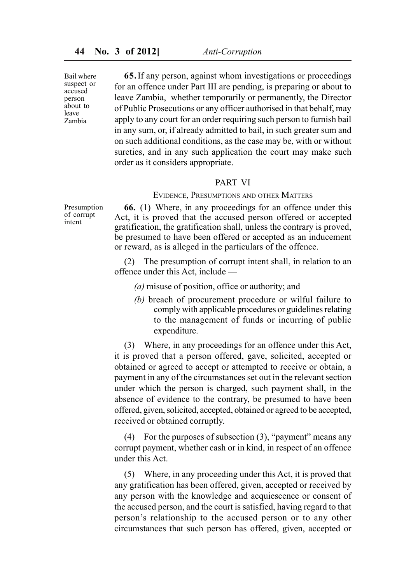Bail where suspect or accused person about to leave Zambia

**65.**If any person, against whom investigations or proceedings for an offence under Part III are pending, is preparing or about to leave Zambia, whether temporarily or permanently, the Director of Public Prosecutions or any officer authorised in that behalf, may apply to any court for an order requiring such person to furnish bail in any sum, or, if already admitted to bail, in such greater sum and on such additional conditions, as the case may be, with or without sureties, and in any such application the court may make such order as it considers appropriate.

#### PART VI

EVIDENCE, PRESUMPTIONS AND OTHER MATTERS

**66.** (1) Where, in any proceedings for an offence under this Act, it is proved that the accused person offered or accepted gratification, the gratification shall, unless the contrary is proved, be presumed to have been offered or accepted as an inducement or reward, as is alleged in the particulars of the offence.

(2) The presumption of corrupt intent shall, in relation to an offence under this Act, include —

*(a)* misuse of position, office or authority; and

*(b)* breach of procurement procedure or wilful failure to comply with applicable procedures or guidelines relating to the management of funds or incurring of public expenditure.

(3) Where, in any proceedings for an offence under this Act, it is proved that a person offered, gave, solicited, accepted or obtained or agreed to accept or attempted to receive or obtain, a payment in any of the circumstances set out in the relevant section under which the person is charged, such payment shall, in the absence of evidence to the contrary, be presumed to have been offered, given, solicited, accepted, obtained or agreed to be accepted, received or obtained corruptly.

(4) For the purposes of subsection (3), "payment" means any corrupt payment, whether cash or in kind, in respect of an offence under this Act.

(5) Where, in any proceeding under this Act, it is proved that any gratification has been offered, given, accepted or received by any person with the knowledge and acquiescence or consent of the accused person, and the court is satisfied, having regard to that person's relationship to the accused person or to any other circumstances that such person has offered, given, accepted or

Presumption of corrupt intent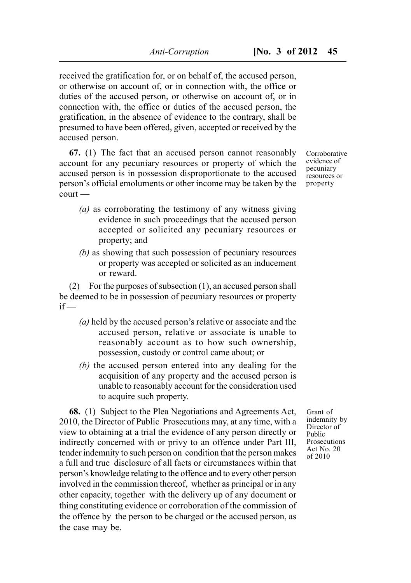received the gratification for, or on behalf of, the accused person, or otherwise on account of, or in connection with, the office or duties of the accused person, or otherwise on account of, or in connection with, the office or duties of the accused person, the gratification, in the absence of evidence to the contrary, shall be presumed to have been offered, given, accepted or received by the accused person.

**67.** (1) The fact that an accused person cannot reasonably account for any pecuniary resources or property of which the accused person is in possession disproportionate to the accused person's official emoluments or other income may be taken by the court —

- *(a)* as corroborating the testimony of any witness giving evidence in such proceedings that the accused person accepted or solicited any pecuniary resources or property; and
- *(b)* as showing that such possession of pecuniary resources or property was accepted or solicited as an inducement or reward.

(2) For the purposes of subsection (1), an accused person shall be deemed to be in possession of pecuniary resources or property  $if -$ 

- *(a)* held by the accused person's relative or associate and the accused person, relative or associate is unable to reasonably account as to how such ownership, possession, custody or control came about; or
- *(b)* the accused person entered into any dealing for the acquisition of any property and the accused person is unable to reasonably account for the consideration used to acquire such property.

**68.** (1) Subject to the Plea Negotiations and Agreements Act, 2010, the Director of Public Prosecutions may, at any time, with a view to obtaining at a trial the evidence of any person directly or indirectly concerned with or privy to an offence under Part III, tender indemnity to such person on condition that the person makes a full and true disclosure of all facts or circumstances within that person's knowledge relating to the offence and to every other person involved in the commission thereof, whether as principal or in any other capacity, together with the delivery up of any document or thing constituting evidence or corroboration of the commission of the offence by the person to be charged or the accused person, as the case may be.

Corroborative evidence of pecuniary resources or property

Grant of indemnity by Director of Public **Prosecutions** Act No. 20 of 2010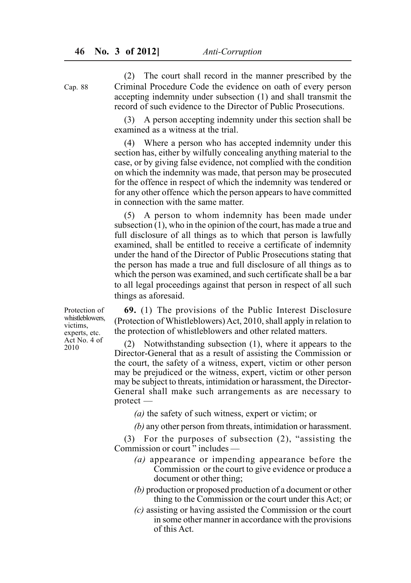(2) The court shall record in the manner prescribed by the Criminal Procedure Code the evidence on oath of every person accepting indemnity under subsection (1) and shall transmit the record of such evidence to the Director of Public Prosecutions.

A person accepting indemnity under this section shall be examined as a witness at the trial.

(4) Where a person who has accepted indemnity under this section has, either by wilfully concealing anything material to the case, or by giving false evidence, not complied with the condition on which the indemnity was made, that person may be prosecuted for the offence in respect of which the indemnity was tendered or for any other offence which the person appears to have committed in connection with the same matter.

(5) A person to whom indemnity has been made under subsection (1), who in the opinion of the court, has made a true and full disclosure of all things as to which that person is lawfully examined, shall be entitled to receive a certificate of indemnity under the hand of the Director of Public Prosecutions stating that the person has made a true and full disclosure of all things as to which the person was examined, and such certificate shall be a bar to all legal proceedings against that person in respect of all such things as aforesaid.

**69.** (1) The provisions of the Public Interest Disclosure (Protection of Whistleblowers) Act, 2010, shall apply in relation to the protection of whistleblowers and other related matters.

(2) Notwithstanding subsection (1), where it appears to the Director-General that as a result of assisting the Commission or the court, the safety of a witness, expert, victim or other person may be prejudiced or the witness, expert, victim or other person may be subject to threats, intimidation or harassment, the Director-General shall make such arrangements as are necessary to protect —

*(a)* the safety of such witness, expert or victim; or

*(b)* any other person from threats, intimidation or harassment.

(3) For the purposes of subsection (2), "assisting the Commission or court<sup>3</sup> includes  $-$ 

- *(a)* appearance or impending appearance before the Commission or the court to give evidence or produce a document or other thing;
- *(b)* production or proposed production of a document or other thing to the Commission or the court under this Act; or
- *(c)* assisting or having assisted the Commission or the court in some other manner in accordance with the provisions of this Act.

Protection of whistleblowers, victims, experts, etc. Act No. 4 of 2010

Cap. 88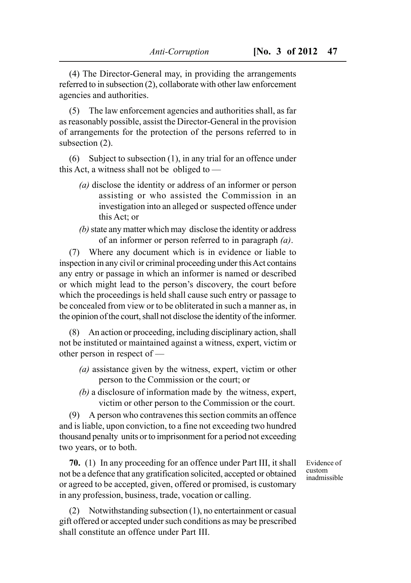(4) The Director-General may, in providing the arrangements referred to in subsection (2), collaborate with other law enforcement agencies and authorities.

(5) The law enforcement agencies and authorities shall, as far as reasonably possible, assist the Director-General in the provision of arrangements for the protection of the persons referred to in subsection (2).

(6) Subject to subsection (1), in any trial for an offence under this Act, a witness shall not be obliged to —

- *(a)* disclose the identity or address of an informer or person assisting or who assisted the Commission in an investigation into an alleged or suspected offence under this Act; or
- *(b)* state any matter which may disclose the identity or address of an informer or person referred to in paragraph *(a)*.

(7) Where any document which is in evidence or liable to inspection in any civil or criminal proceeding under this Act contains any entry or passage in which an informer is named or described or which might lead to the person's discovery, the court before which the proceedings is held shall cause such entry or passage to be concealed from view or to be obliterated in such a manner as, in the opinion of the court, shall not disclose the identity of the informer.

(8) An action or proceeding, including disciplinary action, shall not be instituted or maintained against a witness, expert, victim or other person in respect of —

- *(a)* assistance given by the witness, expert, victim or other person to the Commission or the court; or
- *(b)* a disclosure of information made by the witness, expert, victim or other person to the Commission or the court.

(9) A person who contravenes this section commits an offence and is liable, upon conviction, to a fine not exceeding two hundred thousand penalty units or to imprisonment for a period not exceeding two years, or to both.

**70.** (1) In any proceeding for an offence under Part III, it shall not be a defence that any gratification solicited, accepted or obtained or agreed to be accepted, given, offered or promised, is customary in any profession, business, trade, vocation or calling.

Evidence of custom inadmissible

(2) Notwithstanding subsection (1), no entertainment or casual gift offered or accepted under such conditions as may be prescribed shall constitute an offence under Part III.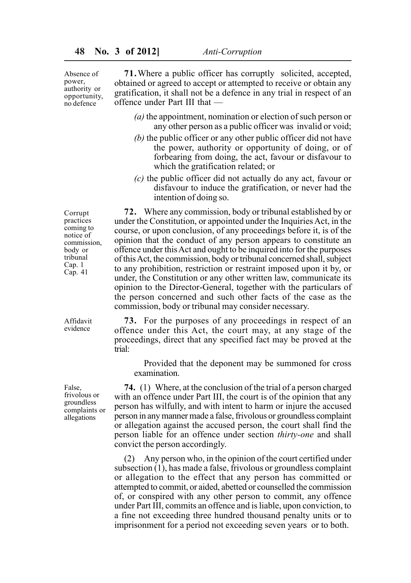Absence of power, authority or opportunity, no defence

**71.**Where a public officer has corruptly solicited, accepted, obtained or agreed to accept or attempted to receive or obtain any gratification, it shall not be a defence in any trial in respect of an offence under Part III that —

- *(a)* the appointment, nomination or election of such person or any other person as a public officer was invalid or void;
- *(b)* the public officer or any other public officer did not have the power, authority or opportunity of doing, or of forbearing from doing, the act, favour or disfavour to which the gratification related; or
- *(c)* the public officer did not actually do any act, favour or disfavour to induce the gratification, or never had the intention of doing so.

Corrupt practices coming to notice of commission, body or tribunal Cap. 1 Cap. 41

**72.** Where any commission, body or tribunal established by or under the Constitution, or appointed under the Inquiries Act, in the course, or upon conclusion, of any proceedings before it, is of the opinion that the conduct of any person appears to constitute an offence under this Act and ought to be inquired into for the purposes of this Act, the commission, body or tribunal concerned shall, subject to any prohibition, restriction or restraint imposed upon it by, or under, the Constitution or any other written law, communicate its opinion to the Director-General, together with the particulars of the person concerned and such other facts of the case as the commission, body or tribunal may consider necessary.

Affidavit evidence

**73.** For the purposes of any proceedings in respect of an offence under this Act, the court may, at any stage of the proceedings, direct that any specified fact may be proved at the trial:

Provided that the deponent may be summoned for cross examination.

**74.** (1) Where, at the conclusion of the trial of a person charged with an offence under Part III, the court is of the opinion that any person has wilfully, and with intent to harm or injure the accused person in any manner made a false, frivolous or groundless complaint or allegation against the accused person, the court shall find the person liable for an offence under section *thirty-one* and shall convict the person accordingly.

(2) Any person who, in the opinion of the court certified under subsection  $(1)$ , has made a false, frivolous or groundless complaint or allegation to the effect that any person has committed or attempted to commit, or aided, abetted or counselled the commission of, or conspired with any other person to commit, any offence under Part III, commits an offence and is liable, upon conviction, to a fine not exceeding three hundred thousand penalty units or to imprisonment for a period not exceeding seven years or to both.

False, frivolous or groundless complaints or allegations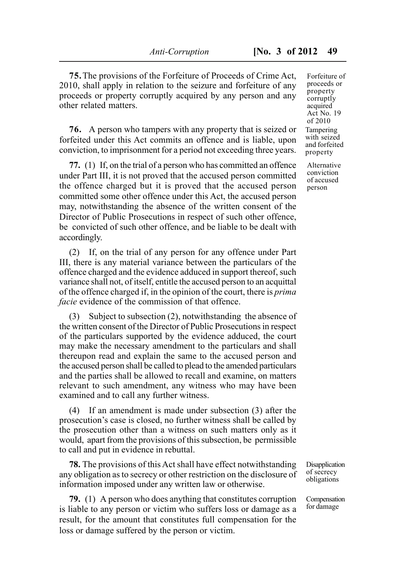**75.**The provisions of the Forfeiture of Proceeds of Crime Act, 2010, shall apply in relation to the seizure and forfeiture of any proceeds or property corruptly acquired by any person and any other related matters.

**76.** A person who tampers with any property that is seized or forfeited under this Act commits an offence and is liable, upon conviction, to imprisonment for a period not exceeding three years.

**77.** (1) If, on the trial of a person who has committed an offence under Part III, it is not proved that the accused person committed the offence charged but it is proved that the accused person committed some other offence under this Act, the accused person may, notwithstanding the absence of the written consent of the Director of Public Prosecutions in respect of such other offence, be convicted of such other offence, and be liable to be dealt with accordingly.

(2) If, on the trial of any person for any offence under Part III, there is any material variance between the particulars of the offence charged and the evidence adduced in support thereof, such variance shall not, of itself, entitle the accused person to an acquittal of the offence charged if, in the opinion of the court, there is *prima facie* evidence of the commission of that offence.

(3) Subject to subsection (2), notwithstanding the absence of the written consent of the Director of Public Prosecutions in respect of the particulars supported by the evidence adduced, the court may make the necessary amendment to the particulars and shall thereupon read and explain the same to the accused person and the accused person shall be called to plead to the amended particulars and the parties shall be allowed to recall and examine, on matters relevant to such amendment, any witness who may have been examined and to call any further witness.

(4) If an amendment is made under subsection (3) after the prosecution's case is closed, no further witness shall be called by the prosecution other than a witness on such matters only as it would, apart from the provisions of this subsection, be permissible to call and put in evidence in rebuttal.

**78.** The provisions of this Act shall have effect notwithstanding any obligation as to secrecy or other restriction on the disclosure of information imposed under any written law or otherwise.

**79.** (1) A person who does anything that constitutes corruption is liable to any person or victim who suffers loss or damage as a result, for the amount that constitutes full compensation for the loss or damage suffered by the person or victim.

Forfeiture of proceeds or property corruptly acquired Act No. 19 of 2010 **Tampering** with seized and forfeited property

Alternative conviction of accused person

Disapplication of secrecy obligations

Compensation for damage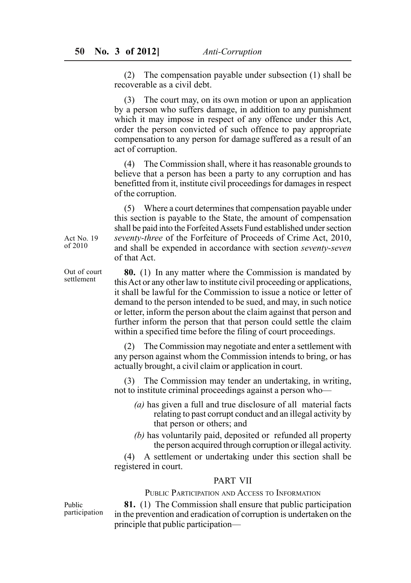(2) The compensation payable under subsection (1) shall be recoverable as a civil debt.

(3) The court may, on its own motion or upon an application by a person who suffers damage, in addition to any punishment which it may impose in respect of any offence under this Act, order the person convicted of such offence to pay appropriate compensation to any person for damage suffered as a result of an act of corruption.

(4) The Commission shall, where it has reasonable grounds to believe that a person has been a party to any corruption and has benefitted from it, institute civil proceedings for damages in respect of the corruption.

(5) Where a court determines that compensation payable under this section is payable to the State, the amount of compensation shall be paid into the Forfeited Assets Fund established under section *seventy-three* of the Forfeiture of Proceeds of Crime Act, 2010, and shall be expended in accordance with section *seventy-seven* of that Act.

**80.** (1) In any matter where the Commission is mandated by this Act or any other law to institute civil proceeding or applications, it shall be lawful for the Commission to issue a notice or letter of demand to the person intended to be sued, and may, in such notice or letter, inform the person about the claim against that person and further inform the person that that person could settle the claim within a specified time before the filing of court proceedings.

(2) The Commission may negotiate and enter a settlement with any person against whom the Commission intends to bring, or has actually brought, a civil claim or application in court.

(3) The Commission may tender an undertaking, in writing, not to institute criminal proceedings against a person who—

- *(a)* has given a full and true disclosure of all material facts relating to past corrupt conduct and an illegal activity by that person or others; and
- *(b)* has voluntarily paid, deposited or refunded all property the person acquired through corruption or illegal activity.

(4) A settlement or undertaking under this section shall be registered in court.

#### PART VII

PUBLIC PARTICIPATION AND ACCESS TO INFORMATION

Public participation

**81.** (1) The Commission shall ensure that public participation in the prevention and eradication of corruption is undertaken on the principle that public participation—

Act No. 19 of 2010

Out of court settlement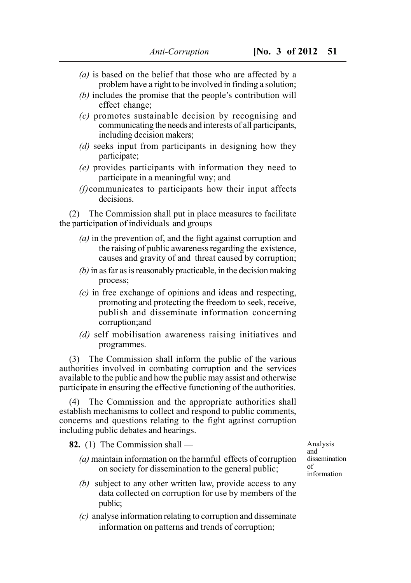- *(a)* is based on the belief that those who are affected by a problem have a right to be involved in finding a solution;
- *(b)* includes the promise that the people's contribution will effect change;
- *(c)* promotes sustainable decision by recognising and communicating the needs and interests of all participants, including decision makers;
- *(d)* seeks input from participants in designing how they participate;
- *(e)* provides participants with information they need to participate in a meaningful way; and
- *(f)*communicates to participants how their input affects decisions.

(2) The Commission shall put in place measures to facilitate the participation of individuals and groups—

- *(a)* in the prevention of, and the fight against corruption and the raising of public awareness regarding the existence, causes and gravity of and threat caused by corruption;
- *(b)* in as far as is reasonably practicable, in the decision making process;
- *(c)* in free exchange of opinions and ideas and respecting, promoting and protecting the freedom to seek, receive, publish and disseminate information concerning corruption;and
- *(d)* self mobilisation awareness raising initiatives and programmes.

(3) The Commission shall inform the public of the various authorities involved in combating corruption and the services available to the public and how the public may assist and otherwise participate in ensuring the effective functioning of the authorities.

(4) The Commission and the appropriate authorities shall establish mechanisms to collect and respond to public comments, concerns and questions relating to the fight against corruption including public debates and hearings.

**82.** (1) The Commission shall —

- *(a)* maintain information on the harmful effects of corruption on society for dissemination to the general public;
- *(b)* subject to any other written law, provide access to any data collected on corruption for use by members of the public;
- *(c)* analyse information relating to corruption and disseminate information on patterns and trends of corruption;

Analysis and dissemination of information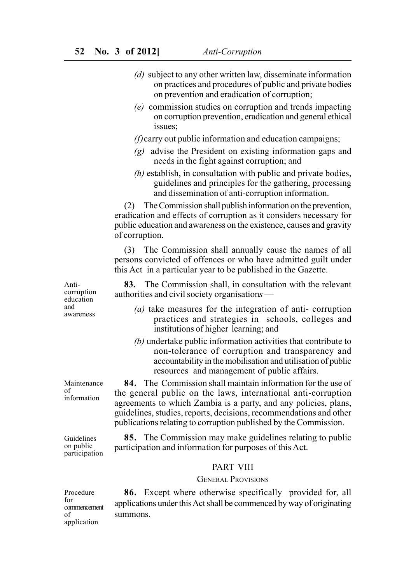- *(d)* subject to any other written law, disseminate information on practices and procedures of public and private bodies on prevention and eradication of corruption;
- *(e)* commission studies on corruption and trends impacting on corruption prevention, eradication and general ethical issues;

*(f)*carry out public information and education campaigns;

- *(g)* advise the President on existing information gaps and needs in the fight against corruption; and
- *(h)* establish, in consultation with public and private bodies, guidelines and principles for the gathering, processing and dissemination of anti-corruption information.

(2) The Commission shall publish information on the prevention, eradication and effects of corruption as it considers necessary for public education and awareness on the existence, causes and gravity of corruption.

(3) The Commission shall annually cause the names of all persons convicted of offences or who have admitted guilt under this Act in a particular year to be published in the Gazette.

**83.** The Commission shall, in consultation with the relevant authorities and civil society organisation*s* —

- *(a)* take measures for the integration of anti- corruption practices and strategies in schools, colleges and institutions of higher learning; and
- *(b)* undertake public information activities that contribute to non-tolerance of corruption and transparency and accountability in the mobilisation and utilisation of public resources and management of public affairs.

**84.** The Commission shall maintain information for the use of the general public on the laws, international anti-corruption agreements to which Zambia is a party, and any policies, plans, guidelines, studies, reports, decisions, recommendations and other publications relating to corruption published by the Commission.

**85.** The Commission may make guidelines relating to public participation and information for purposes of this Act.

#### PART VIII

#### GENERAL PROVISIONS

Procedure  $f_{\Omega}r$ commencement of application

**86.** Except where otherwise specifically provided for, all applications under this Act shall be commenced by way of originating summons.

Anticorruption education and awareness

Maintenance of information

Guidelines on public participation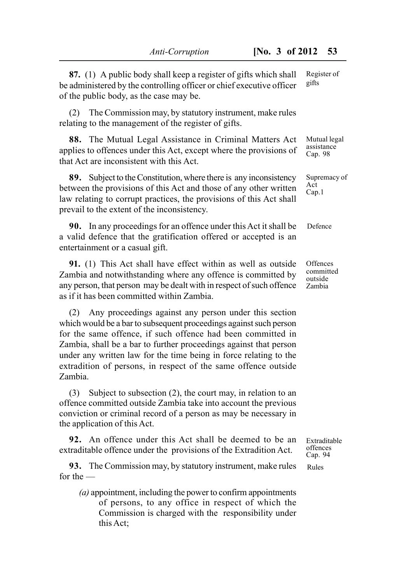| 87. (1) A public body shall keep a register of gifts which shall<br>be administered by the controlling officer or chief executive officer<br>of the public body, as the case may be.                                                                                                                                                                                                                                     | Register of<br>gifts                       |
|--------------------------------------------------------------------------------------------------------------------------------------------------------------------------------------------------------------------------------------------------------------------------------------------------------------------------------------------------------------------------------------------------------------------------|--------------------------------------------|
| The Commission may, by statutory instrument, make rules<br>(2)<br>relating to the management of the register of gifts.                                                                                                                                                                                                                                                                                                   |                                            |
| 88. The Mutual Legal Assistance in Criminal Matters Act<br>applies to offences under this Act, except where the provisions of<br>that Act are inconsistent with this Act.                                                                                                                                                                                                                                                | Mutual legal<br>assistance<br>Cap. 98      |
| Subject to the Constitution, where there is any inconsistency<br>89.<br>between the provisions of this Act and those of any other written<br>law relating to corrupt practices, the provisions of this Act shall<br>prevail to the extent of the inconsistency.                                                                                                                                                          | Supremacy of<br>Act<br>Cap.1               |
| 90. In any proceedings for an offence under this Act it shall be<br>a valid defence that the gratification offered or accepted is an<br>entertainment or a casual gift.                                                                                                                                                                                                                                                  | Defence                                    |
| 91. (1) This Act shall have effect within as well as outside<br>Zambia and notwithstanding where any offence is committed by<br>any person, that person may be dealt with in respect of such offence<br>as if it has been committed within Zambia.                                                                                                                                                                       | Offences<br>committed<br>outside<br>Zambia |
| Any proceedings against any person under this section<br>(2)<br>which would be a bar to subsequent proceedings against such person<br>for the same offence, if such offence had been committed in<br>Zambia, shall be a bar to further proceedings against that person<br>under any written law for the time being in force relating to the<br>extradition of persons, in respect of the same offence outside<br>Zambia. |                                            |
| Subject to subsection $(2)$ , the court may, in relation to an<br>(3)<br>offence committed outside Zambia take into account the previous<br>conviction or criminal record of a person as may be necessary in                                                                                                                                                                                                             |                                            |

**92.** An offence under this Act shall be deemed to be an extraditable offence under the provisions of the Extradition Act.

the application of this Act.

**93.** The Commission may, by statutory instrument, make rules for the —

*(a)* appointment, including the power to confirm appointments of persons, to any office in respect of which the Commission is charged with the responsibility under this Act;

Extraditable offences Cap. 94

Rules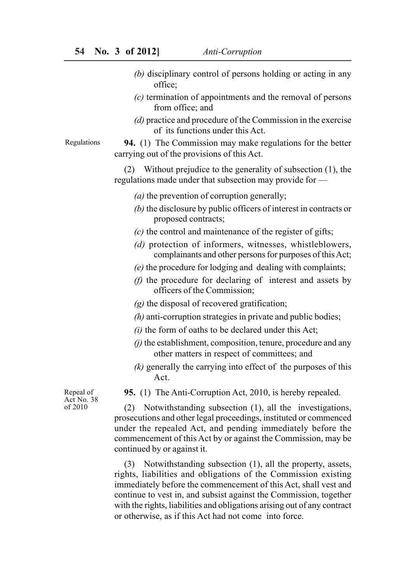- *(b)* disciplinary control of persons holding or acting in any office;
- *(c)* termination of appointments and the removal of persons from office; and
- *(d)* practice and procedure of the Commission in the exercise of its functions under this Act.

## **94.** (1) The Commission may make regulations for the better carrying out of the provisions of this Act.

(2) Without prejudice to the generality of subsection (1), the regulations made under that subsection may provide for —

- *(a)* the prevention of corruption generally;
- *(b)* the disclosure by public officers of interest in contracts or proposed contracts;
- *(c)* the control and maintenance of the register of gifts;
- *(d)* protection of informers, witnesses, whistleblowers, complainants and other persons for purposes of this Act;
- *(e)* the procedure for lodging and dealing with complaints;
- *(f)* the procedure for declaring of interest and assets by officers of the Commission;
- *(g)* the disposal of recovered gratification;
- *(h)* anti-corruption strategies in private and public bodies;
- *(i)* the form of oaths to be declared under this Act;
- *(j)* the establishment, composition, tenure, procedure and any other matters in respect of committees; and
- *(k)* generally the carrying into effect of the purposes of this Act.

**95.** (1) The Anti-Corruption Act, 2010, is hereby repealed.

Repeal of Act No. 38 of 2010

(2) Notwithstanding subsection (1), all the investigations, prosecutions and other legal proceedings, instituted or commenced under the repealed Act, and pending immediately before the commencement of this Act by or against the Commission, may be continued by or against it.

(3) Notwithstanding subsection (1), all the property, assets, rights, liabilities and obligations of the Commission existing immediately before the commencement of this Act, shall vest and continue to vest in, and subsist against the Commission, together with the rights, liabilities and obligations arising out of any contract or otherwise, as if this Act had not come into force.

Regulations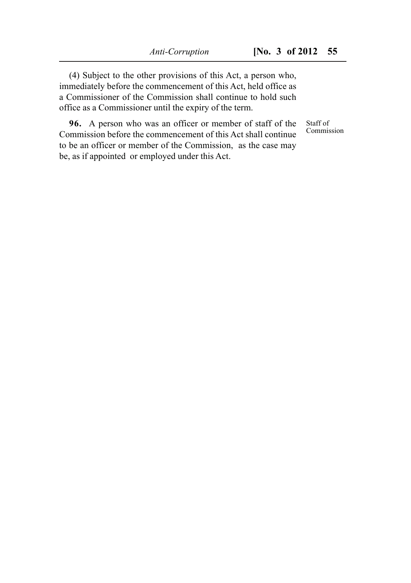(4) Subject to the other provisions of this Act, a person who, immediately before the commencement of this Act, held office as a Commissioner of the Commission shall continue to hold such office as a Commissioner until the expiry of the term.

**96.** A person who was an officer or member of staff of the Commission before the commencement of this Act shall continue to be an officer or member of the Commission, as the case may be, as if appointed or employed under this Act.

Staff of Commission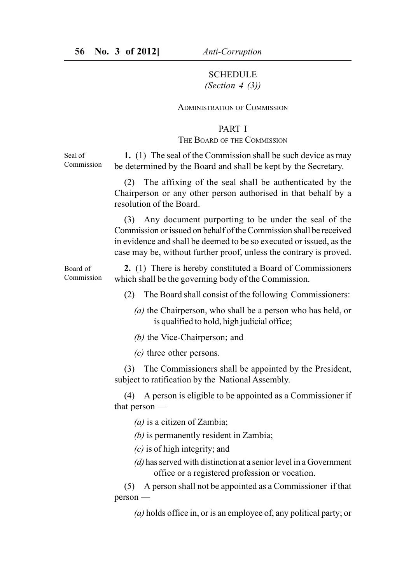## SCHEDULE *(Section 4 (3))*

#### ADMINISTRATION OF COMMISSION

#### PART I

#### THE BOARD OF THE COMMISSION

**1.** (1) The seal of the Commission shall be such device as may be determined by the Board and shall be kept by the Secretary.

(2) The affixing of the seal shall be authenticated by the Chairperson or any other person authorised in that behalf by a resolution of the Board.

(3) Any document purporting to be under the seal of the Commission or issued on behalf of the Commission shall be received in evidence and shall be deemed to be so executed or issued, as the case may be, without further proof, unless the contrary is proved.

**2.** (1) There is hereby constituted a Board of Commissioners which shall be the governing body of the Commission. Board of Commission

(2) The Board shall consist of the following Commissioners:

- *(a)* the Chairperson, who shall be a person who has held, or is qualified to hold, high judicial office;
- *(b)* the Vice-Chairperson; and

*(c)* three other persons.

(3) The Commissioners shall be appointed by the President, subject to ratification by the National Assembly.

(4) A person is eligible to be appointed as a Commissioner if that person —

*(a)* is a citizen of Zambia;

*(b)* is permanently resident in Zambia;

- *(c)* is of high integrity; and
- *(d)* has served with distinction at a senior level in a Government office or a registered profession or vocation.

(5) A person shall not be appointed as a Commissioner if that person —

*(a)* holds office in, or is an employee of, any political party; or

Seal of Commission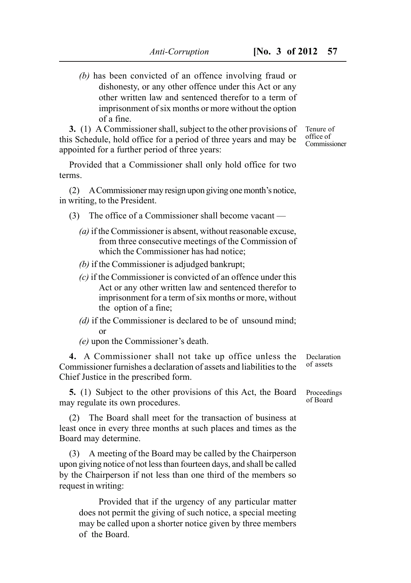*(b)* has been convicted of an offence involving fraud or dishonesty, or any other offence under this Act or any other written law and sentenced therefor to a term of imprisonment of six months or more without the option of a fine.

**3.** (1) A Commissioner shall, subject to the other provisions of this Schedule, hold office for a period of three years and may be appointed for a further period of three years:

Provided that a Commissioner shall only hold office for two terms.

(2) A Commissioner may resign upon giving one month's notice, in writing, to the President.

- (3) The office of a Commissioner shall become vacant
	- *(a)* if the Commissioner is absent, without reasonable excuse, from three consecutive meetings of the Commission of which the Commissioner has had notice;
	- *(b)* if the Commissioner is adjudged bankrupt;
	- *(c)* if the Commissioner is convicted of an offence under this Act or any other written law and sentenced therefor to imprisonment for a term of six months or more, without the option of a fine;
	- *(d)* if the Commissioner is declared to be of unsound mind; or

*(e)* upon the Commissioner's death.

**4.** A Commissioner shall not take up office unless the Commissioner furnishes a declaration of assets and liabilities to the Chief Justice in the prescribed form.

**5.** (1) Subject to the other provisions of this Act, the Board may regulate its own procedures.

(2) The Board shall meet for the transaction of business at least once in every three months at such places and times as the Board may determine.

(3) A meeting of the Board may be called by the Chairperson upon giving notice of not less than fourteen days, and shall be called by the Chairperson if not less than one third of the members so request in writing:

Provided that if the urgency of any particular matter does not permit the giving of such notice, a special meeting may be called upon a shorter notice given by three members of the Board.

Declaration of assets

Proceedings of Board

Tenure of office of Commissioner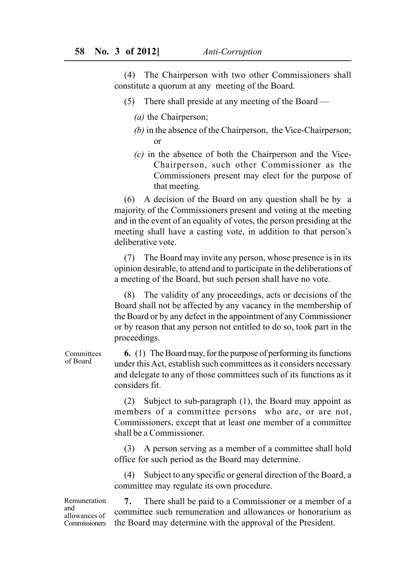(4) The Chairperson with two other Commissioners shall constitute a quorum at any meeting of the Board.

- (5) There shall preside at any meeting of the Board
	- *(a)* the Chairperson;
	- *(b)* in the absence of the Chairperson, the Vice-Chairperson; or
	- *(c)* in the absence of both the Chairperson and the Vice-Chairperson, such other Commissioner as the Commissioners present may elect for the purpose of that meeting.

(6) A decision of the Board on any question shall be by a majority of the Commissioners present and voting at the meeting and in the event of an equality of votes, the person presiding at the meeting shall have a casting vote, in addition to that person's deliberative vote.

(7) The Board may invite any person, whose presence is in its opinion desirable, to attend and to participate in the deliberations of a meeting of the Board, but such person shall have no vote.

(8) The validity of any proceedings, acts or decisions of the Board shall not be affected by any vacancy in the membership of the Board or by any defect in the appointment of any Commissioner or by reason that any person not entitled to do so, took part in the proceedings.

**6.** (1) The Board may, for the purpose of performing its functions under this Act, establish such committees as it considers necessary and delegate to any of those committees such of its functions as it considers fit.

(2) Subject to sub-paragraph (1), the Board may appoint as members of a committee persons who are, or are not, Commissioners, except that at least one member of a committee shall be a Commissioner.

(3) A person serving as a member of a committee shall hold office for such period as the Board may determine.

(4) Subject to any specific or general direction of the Board, a committee may regulate its own procedure.

Remuneration and allowances of **Commissioners** 

**7.** There shall be paid to a Commissioner or a member of a committee such remuneration and allowances or honorarium as the Board may determine with the approval of the President.

Committees of Board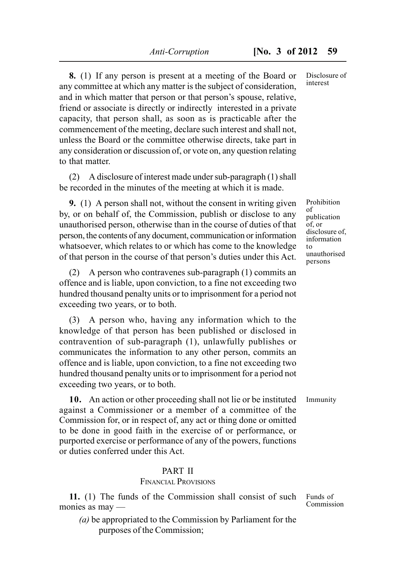**8.** (1) If any person is present at a meeting of the Board or any committee at which any matter is the subject of consideration, and in which matter that person or that person's spouse, relative, friend or associate is directly or indirectly interested in a private capacity, that person shall, as soon as is practicable after the commencement of the meeting, declare such interest and shall not, unless the Board or the committee otherwise directs, take part in any consideration or discussion of, or vote on, any question relating to that matter.

(2) A disclosure of interest made under sub-paragraph (1) shall be recorded in the minutes of the meeting at which it is made.

**9.** (1) A person shall not, without the consent in writing given by, or on behalf of, the Commission, publish or disclose to any unauthorised person, otherwise than in the course of duties of that person, the contents of any document, communication or information whatsoever, which relates to or which has come to the knowledge of that person in the course of that person's duties under this Act.

(2) A person who contravenes sub-paragraph (1) commits an offence and is liable, upon conviction, to a fine not exceeding two hundred thousand penalty units or to imprisonment for a period not exceeding two years, or to both.

(3) A person who, having any information which to the knowledge of that person has been published or disclosed in contravention of sub-paragraph (1), unlawfully publishes or communicates the information to any other person, commits an offence and is liable, upon conviction, to a fine not exceeding two hundred thousand penalty units or to imprisonment for a period not exceeding two years, or to both.

**10.** An action or other proceeding shall not lie or be instituted against a Commissioner or a member of a committee of the Commission for, or in respect of, any act or thing done or omitted to be done in good faith in the exercise of or performance, or purported exercise or performance of any of the powers, functions or duties conferred under this Act.

## PART II

## FINANCIAL PROVISIONS

**11.** (1) The funds of the Commission shall consist of such monies as may —

*(a)* be appropriated to the Commission by Parliament for the purposes of the Commission;

Disclosure of interest

Prohibition of publication of, or disclosure of. information to unauthorised persons

Immunity

Funds of Commission